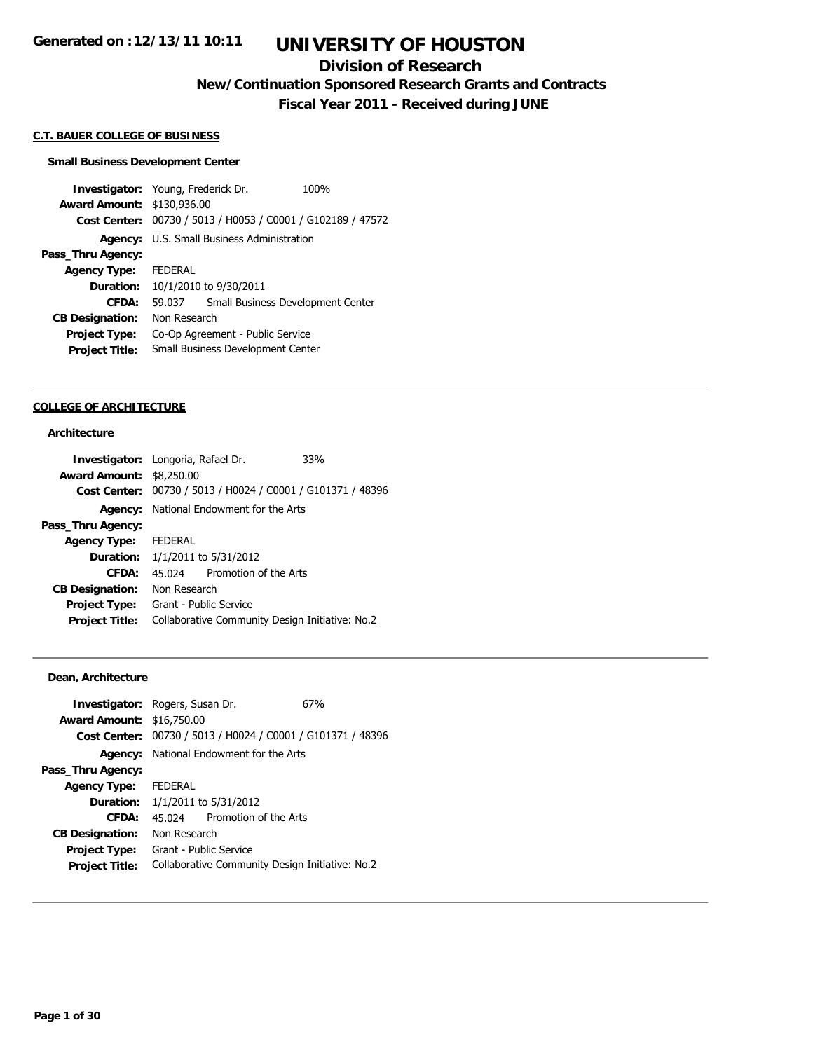## **Division of Research**

**New/Continuation Sponsored Research Grants and Contracts**

**Fiscal Year 2011 - Received during JUNE**

### **C.T. BAUER COLLEGE OF BUSINESS**

#### **Small Business Development Center**

**Investigator:** Young, Frederick Dr. 100% **Award Amount:** \$130,936.00 **Cost Center:** 00730 / 5013 / H0053 / C0001 / G102189 / 47572 **Agency:** U.S. Small Business Administration **Pass\_Thru Agency: Agency Type:** FEDERAL **Duration:** 10/1/2010 to 9/30/2011 **CFDA:** 59.037 Small Business Development Center **CB Designation:** Non Research **Project Type:** Co-Op Agreement - Public Service **Project Title:** Small Business Development Center

#### **COLLEGE OF ARCHITECTURE**

## **Architecture**

| Investigator: Longoria, Rafael Dr. |                                                 |                                                | 33%                                                         |
|------------------------------------|-------------------------------------------------|------------------------------------------------|-------------------------------------------------------------|
| <b>Award Amount: \$8,250.00</b>    |                                                 |                                                |                                                             |
|                                    |                                                 |                                                | Cost Center: 00730 / 5013 / H0024 / C0001 / G101371 / 48396 |
|                                    |                                                 | <b>Agency:</b> National Endowment for the Arts |                                                             |
| Pass_Thru Agency:                  |                                                 |                                                |                                                             |
| Agency Type: FEDERAL               |                                                 |                                                |                                                             |
|                                    | <b>Duration:</b> 1/1/2011 to 5/31/2012          |                                                |                                                             |
| CFDA:                              | 45 024                                          | Promotion of the Arts                          |                                                             |
| <b>CB Designation:</b>             | Non Research                                    |                                                |                                                             |
| Project Type:                      | Grant - Public Service                          |                                                |                                                             |
| <b>Project Title:</b>              | Collaborative Community Design Initiative: No.2 |                                                |                                                             |

### **Dean, Architecture**

| <b>Investigator:</b> Rogers, Susan Dr. |                        |                                                             | 67% |
|----------------------------------------|------------------------|-------------------------------------------------------------|-----|
| <b>Award Amount: \$16,750.00</b>       |                        |                                                             |     |
|                                        |                        | Cost Center: 00730 / 5013 / H0024 / C0001 / G101371 / 48396 |     |
|                                        |                        | <b>Agency:</b> National Endowment for the Arts              |     |
| Pass_Thru Agency:                      |                        |                                                             |     |
| <b>Agency Type:</b>                    | <b>FEDERAL</b>         |                                                             |     |
| <b>Duration:</b>                       |                        | 1/1/2011 to 5/31/2012                                       |     |
| CFDA:                                  | 45.024                 | Promotion of the Arts                                       |     |
| <b>CB Designation:</b>                 | Non Research           |                                                             |     |
| Project Type:                          | Grant - Public Service |                                                             |     |
| <b>Project Title:</b>                  |                        | Collaborative Community Design Initiative: No.2             |     |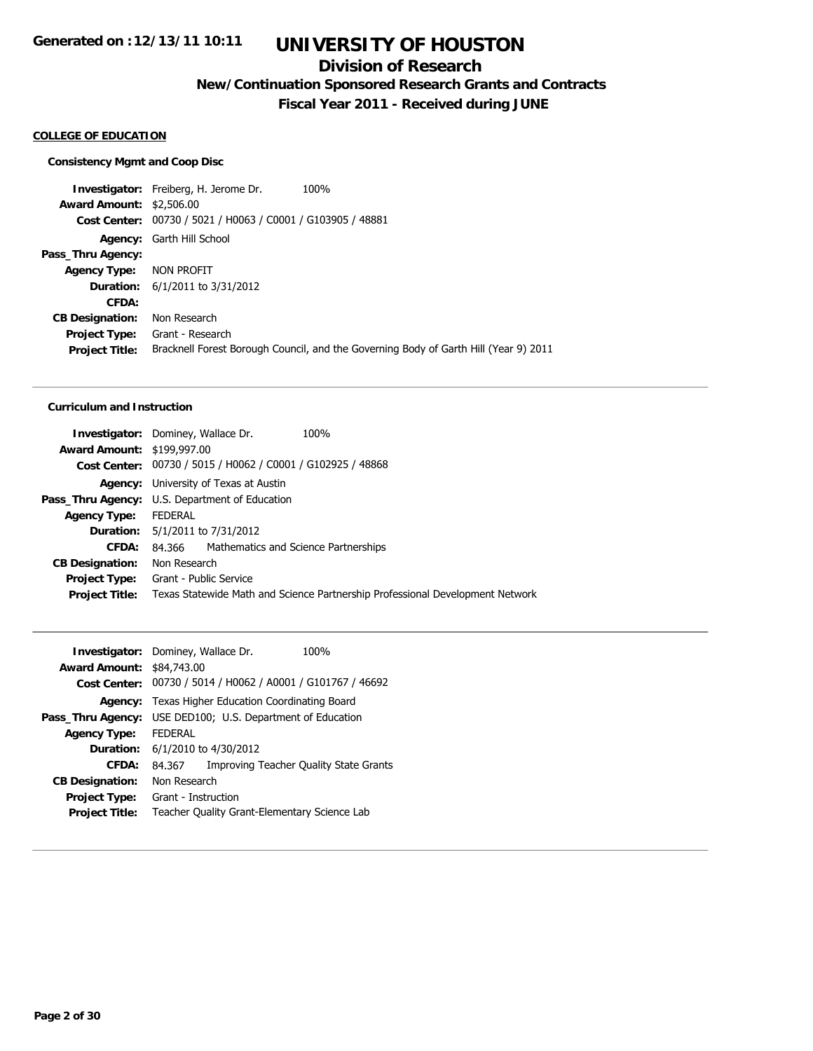## **Division of Research**

**New/Continuation Sponsored Research Grants and Contracts**

**Fiscal Year 2011 - Received during JUNE**

### **COLLEGE OF EDUCATION**

#### **Consistency Mgmt and Coop Disc**

**Investigator:** Freiberg, H. Jerome Dr. 100% **Award Amount:** \$2,506.00 **Cost Center:** 00730 / 5021 / H0063 / C0001 / G103905 / 48881 **Agency:** Garth Hill School **Pass\_Thru Agency: Agency Type:** NON PROFIT **Duration:** 6/1/2011 to 3/31/2012 **CFDA: CB Designation:** Non Research **Project Type:** Grant - Research **Project Title:** Bracknell Forest Borough Council, and the Governing Body of Garth Hill (Year 9) 2011

### **Curriculum and Instruction**

|                                                       | <b>Investigator:</b> Dominey, Wallace Dr.                   | 100%                                                                          |
|-------------------------------------------------------|-------------------------------------------------------------|-------------------------------------------------------------------------------|
| <b>Award Amount: \$199,997.00</b>                     |                                                             |                                                                               |
|                                                       | Cost Center: 00730 / 5015 / H0062 / C0001 / G102925 / 48868 |                                                                               |
|                                                       | <b>Agency:</b> University of Texas at Austin                |                                                                               |
| <b>Pass_Thru Agency:</b> U.S. Department of Education |                                                             |                                                                               |
| <b>Agency Type:</b>                                   | FEDERAL                                                     |                                                                               |
|                                                       | <b>Duration:</b> 5/1/2011 to 7/31/2012                      |                                                                               |
| CFDA:                                                 | 84.366 Mathematics and Science Partnerships                 |                                                                               |
| <b>CB Designation:</b>                                | Non Research                                                |                                                                               |
| Project Type:                                         | Grant - Public Service                                      |                                                                               |
| <b>Project Title:</b>                                 |                                                             | Texas Statewide Math and Science Partnership Professional Development Network |
|                                                       |                                                             |                                                                               |

|                           | Investigator: Dominey, Wallace Dr.           | 100%                                           |  |  |
|---------------------------|----------------------------------------------|------------------------------------------------|--|--|
| Award Amount: \$84,743.00 |                                              |                                                |  |  |
| <b>Cost Center:</b>       |                                              | 00730 / 5014 / H0062 / A0001 / G101767 / 46692 |  |  |
| Agency:                   | Texas Higher Education Coordinating Board    |                                                |  |  |
| Pass_Thru Agency:         | USE DED100; U.S. Department of Education     |                                                |  |  |
| <b>Agency Type:</b>       | <b>FFDFRAL</b>                               |                                                |  |  |
|                           | <b>Duration:</b> 6/1/2010 to 4/30/2012       |                                                |  |  |
| CFDA:                     | 84.367                                       | <b>Improving Teacher Quality State Grants</b>  |  |  |
| <b>CB Designation:</b>    | Non Research                                 |                                                |  |  |
| <b>Project Type:</b>      | Grant - Instruction                          |                                                |  |  |
| <b>Project Title:</b>     | Teacher Quality Grant-Elementary Science Lab |                                                |  |  |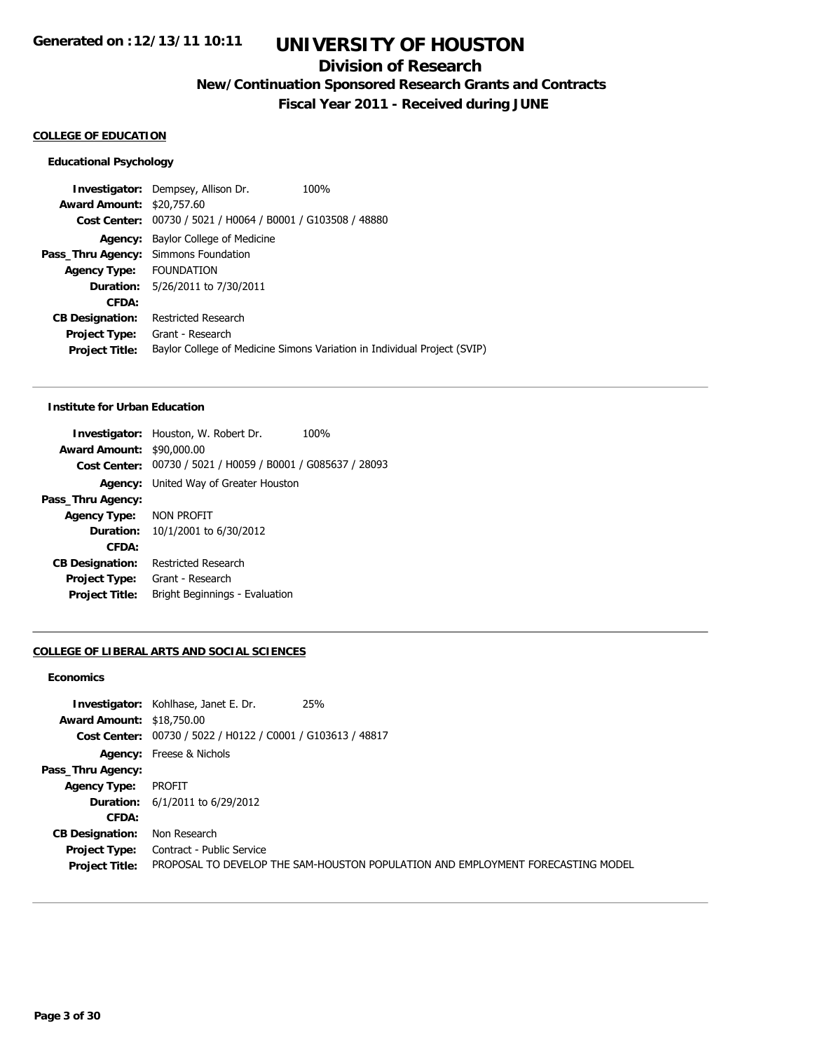## **Division of Research**

**New/Continuation Sponsored Research Grants and Contracts**

**Fiscal Year 2011 - Received during JUNE**

## **COLLEGE OF EDUCATION**

### **Educational Psychology**

**Investigator:** Dempsey, Allison Dr. 100% **Award Amount:** \$20,757.60 **Cost Center:** 00730 / 5021 / H0064 / B0001 / G103508 / 48880 **Agency:** Baylor College of Medicine **Pass\_Thru Agency:** Simmons Foundation **Agency Type:** FOUNDATION **Duration:** 5/26/2011 to 7/30/2011 **CFDA: CB Designation:** Restricted Research **Project Type:** Grant - Research **Project Title:** Baylor College of Medicine Simons Variation in Individual Project (SVIP)

### **Institute for Urban Education**

|                                  | <b>Investigator:</b> Houston, W. Robert Dr.                 | 100% |
|----------------------------------|-------------------------------------------------------------|------|
| <b>Award Amount: \$90,000.00</b> |                                                             |      |
|                                  | Cost Center: 00730 / 5021 / H0059 / B0001 / G085637 / 28093 |      |
|                                  | Agency: United Way of Greater Houston                       |      |
| Pass_Thru Agency:                |                                                             |      |
| Agency Type:                     | NON PROFIT                                                  |      |
| <b>Duration:</b>                 | 10/1/2001 to 6/30/2012                                      |      |
| CFDA:                            |                                                             |      |
| <b>CB Designation:</b>           | <b>Restricted Research</b>                                  |      |
| Project Type:                    | Grant - Research                                            |      |
| <b>Project Title:</b>            | Bright Beginnings - Evaluation                              |      |
|                                  |                                                             |      |

### **COLLEGE OF LIBERAL ARTS AND SOCIAL SCIENCES**

## **Economics**

|                                  | <b>Investigator:</b> Kohlhase, Janet E. Dr.                 | 25%                                                                             |
|----------------------------------|-------------------------------------------------------------|---------------------------------------------------------------------------------|
| <b>Award Amount: \$18,750.00</b> |                                                             |                                                                                 |
|                                  | Cost Center: 00730 / 5022 / H0122 / C0001 / G103613 / 48817 |                                                                                 |
|                                  | <b>Agency:</b> Freese & Nichols                             |                                                                                 |
| Pass_Thru Agency:                |                                                             |                                                                                 |
| <b>Agency Type:</b>              | <b>PROFIT</b>                                               |                                                                                 |
|                                  | <b>Duration:</b> $6/1/2011$ to $6/29/2012$                  |                                                                                 |
| CFDA:                            |                                                             |                                                                                 |
| <b>CB Designation:</b>           | Non Research                                                |                                                                                 |
| Project Type:                    | Contract - Public Service                                   |                                                                                 |
| <b>Project Title:</b>            |                                                             | PROPOSAL TO DEVELOP THE SAM-HOUSTON POPULATION AND EMPLOYMENT FORECASTING MODEL |
|                                  |                                                             |                                                                                 |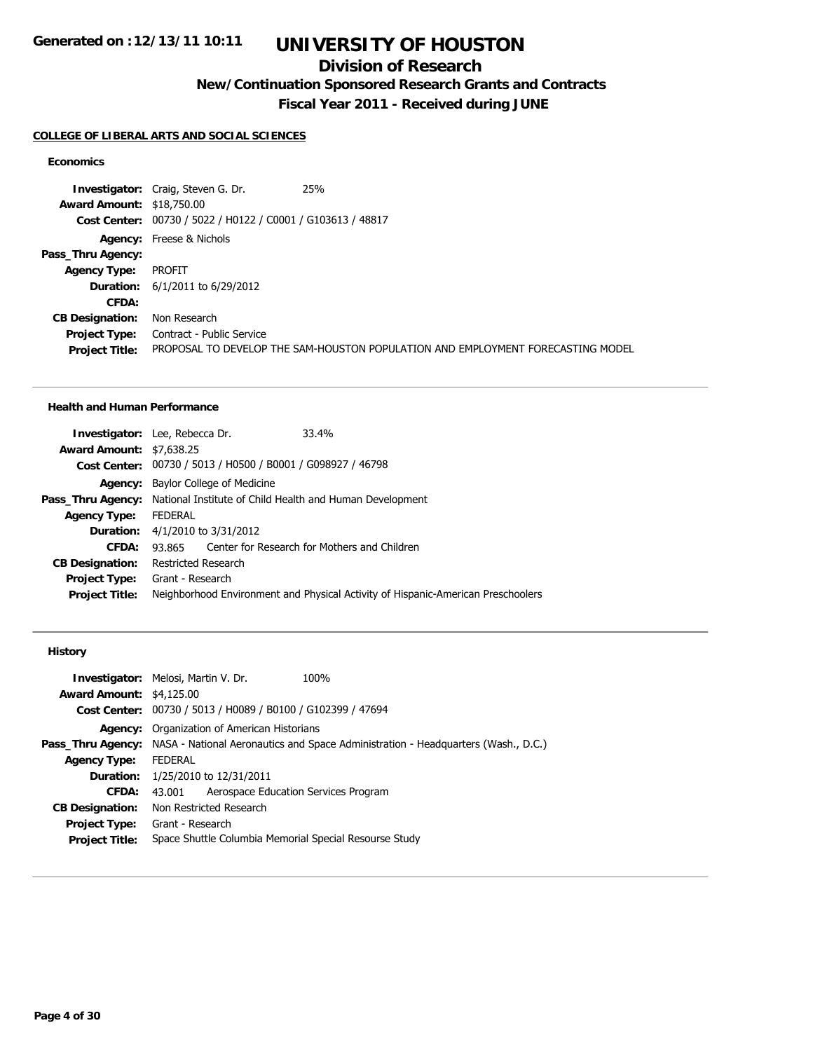## **Division of Research**

**New/Continuation Sponsored Research Grants and Contracts**

**Fiscal Year 2011 - Received during JUNE**

### **COLLEGE OF LIBERAL ARTS AND SOCIAL SCIENCES**

## **Economics**

**Investigator:** Craig, Steven G. Dr. 25% **Award Amount:** \$18,750.00 **Cost Center:** 00730 / 5022 / H0122 / C0001 / G103613 / 48817 **Agency:** Freese & Nichols **Pass\_Thru Agency: Agency Type:** PROFIT **Duration:** 6/1/2011 to 6/29/2012 **CFDA: CB Designation:** Non Research **Project Type:** Contract - Public Service **Project Title:** PROPOSAL TO DEVELOP THE SAM-HOUSTON POPULATION AND EMPLOYMENT FORECASTING MODEL

### **Health and Human Performance**

|                                 | <b>Investigator:</b> Lee, Rebecca Dr.     |  | 33.4%                                                                             |
|---------------------------------|-------------------------------------------|--|-----------------------------------------------------------------------------------|
| <b>Award Amount: \$7,638.25</b> |                                           |  |                                                                                   |
|                                 |                                           |  | Cost Center: 00730 / 5013 / H0500 / B0001 / G098927 / 46798                       |
|                                 | <b>Agency:</b> Baylor College of Medicine |  |                                                                                   |
|                                 |                                           |  | <b>Pass_Thru Agency:</b> National Institute of Child Health and Human Development |
| <b>Agency Type:</b>             | FEDERAL                                   |  |                                                                                   |
|                                 | <b>Duration:</b> 4/1/2010 to 3/31/2012    |  |                                                                                   |
| CFDA:                           | 93.865                                    |  | Center for Research for Mothers and Children                                      |
| <b>CB Designation:</b>          | Restricted Research                       |  |                                                                                   |
| Project Type:                   | Grant - Research                          |  |                                                                                   |
| <b>Project Title:</b>           |                                           |  | Neighborhood Environment and Physical Activity of Hispanic-American Preschoolers  |

## **History**

|                                 | <b>Investigator:</b> Melosi, Martin V. Dr.                  | 100%                                                                                                       |  |  |
|---------------------------------|-------------------------------------------------------------|------------------------------------------------------------------------------------------------------------|--|--|
| <b>Award Amount: \$4,125.00</b> |                                                             |                                                                                                            |  |  |
|                                 | Cost Center: 00730 / 5013 / H0089 / B0100 / G102399 / 47694 |                                                                                                            |  |  |
|                                 |                                                             | <b>Agency:</b> Organization of American Historians                                                         |  |  |
|                                 |                                                             | <b>Pass_Thru Agency:</b> NASA - National Aeronautics and Space Administration - Headquarters (Wash., D.C.) |  |  |
| <b>Agency Type:</b>             | FEDERAL                                                     |                                                                                                            |  |  |
|                                 | <b>Duration:</b> 1/25/2010 to 12/31/2011                    |                                                                                                            |  |  |
| CFDA:                           | Aerospace Education Services Program<br>43.001              |                                                                                                            |  |  |
| <b>CB Designation:</b>          | Non Restricted Research                                     |                                                                                                            |  |  |
| <b>Project Type:</b>            | Grant - Research                                            |                                                                                                            |  |  |
| <b>Project Title:</b>           | Space Shuttle Columbia Memorial Special Resourse Study      |                                                                                                            |  |  |
|                                 |                                                             |                                                                                                            |  |  |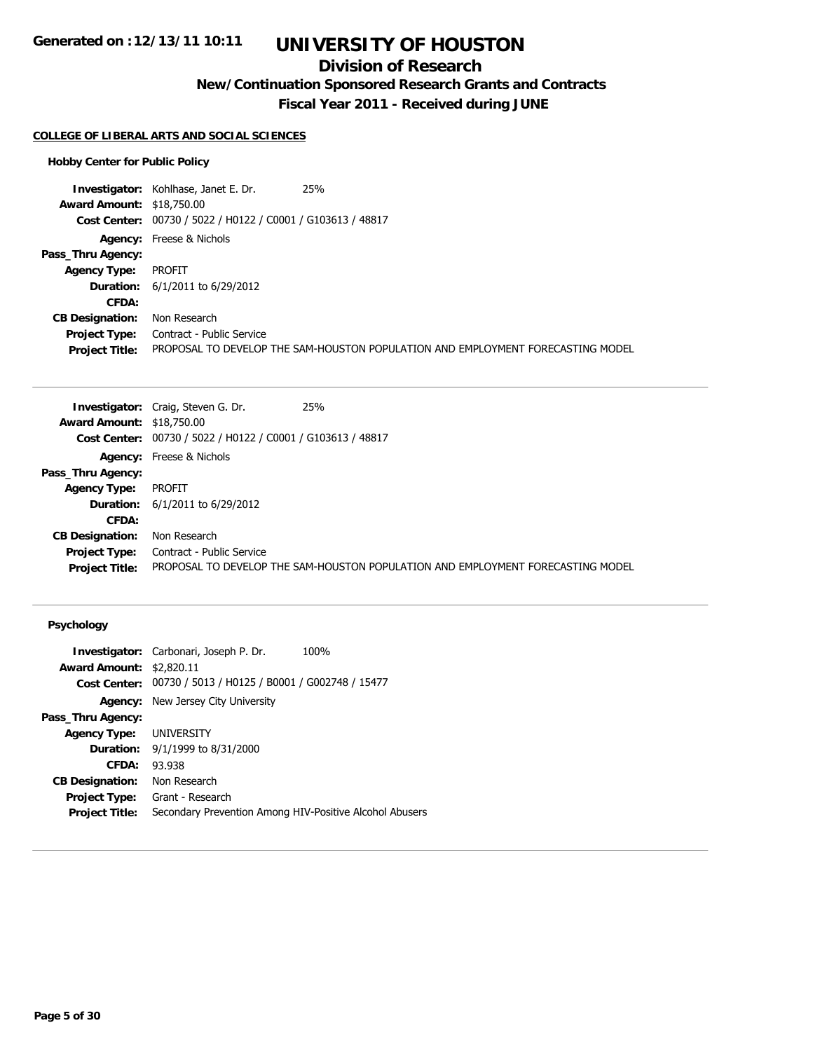# **UNIVERSITY OF HOUSTON**

## **Division of Research**

**New/Continuation Sponsored Research Grants and Contracts**

**Fiscal Year 2011 - Received during JUNE**

### **COLLEGE OF LIBERAL ARTS AND SOCIAL SCIENCES**

### **Hobby Center for Public Policy**

**Investigator:** Kohlhase, Janet E. Dr. 25% **Award Amount:** \$18,750.00 **Cost Center:** 00730 / 5022 / H0122 / C0001 / G103613 / 48817 **Agency:** Freese & Nichols **Pass\_Thru Agency: Agency Type:** PROFIT **Duration:** 6/1/2011 to 6/29/2012 **CFDA: CB Designation:** Non Research **Project Type:** Contract - Public Service **Project Title:** PROPOSAL TO DEVELOP THE SAM-HOUSTON POPULATION AND EMPLOYMENT FORECASTING MODEL

|                                  | 25%<br><b>Investigator:</b> Craig, Steven G. Dr.            |                                                                                 |
|----------------------------------|-------------------------------------------------------------|---------------------------------------------------------------------------------|
| <b>Award Amount: \$18,750.00</b> |                                                             |                                                                                 |
|                                  | Cost Center: 00730 / 5022 / H0122 / C0001 / G103613 / 48817 |                                                                                 |
|                                  | <b>Agency:</b> Freese & Nichols                             |                                                                                 |
| Pass_Thru Agency:                |                                                             |                                                                                 |
| <b>Agency Type:</b>              | PROFIT                                                      |                                                                                 |
|                                  | <b>Duration:</b> $6/1/2011$ to $6/29/2012$                  |                                                                                 |
| CFDA:                            |                                                             |                                                                                 |
| <b>CB Designation:</b>           | Non Research                                                |                                                                                 |
| <b>Project Type:</b>             | Contract - Public Service                                   |                                                                                 |
| <b>Project Title:</b>            |                                                             | PROPOSAL TO DEVELOP THE SAM-HOUSTON POPULATION AND EMPLOYMENT FORECASTING MODEL |

## **Psychology**

|                                 | <b>Investigator:</b> Carbonari, Joseph P. Dr.<br>100%       |
|---------------------------------|-------------------------------------------------------------|
| <b>Award Amount: \$2,820.11</b> |                                                             |
|                                 | Cost Center: 00730 / 5013 / H0125 / B0001 / G002748 / 15477 |
| Agency:                         | New Jersey City University                                  |
| Pass_Thru Agency:               |                                                             |
| <b>Agency Type:</b>             | UNIVERSITY                                                  |
| <b>Duration:</b>                | 9/1/1999 to 8/31/2000                                       |
| CFDA:                           | 93.938                                                      |
| <b>CB Designation:</b>          | Non Research                                                |
| <b>Project Type:</b>            | Grant - Research                                            |
| <b>Project Title:</b>           | Secondary Prevention Among HIV-Positive Alcohol Abusers     |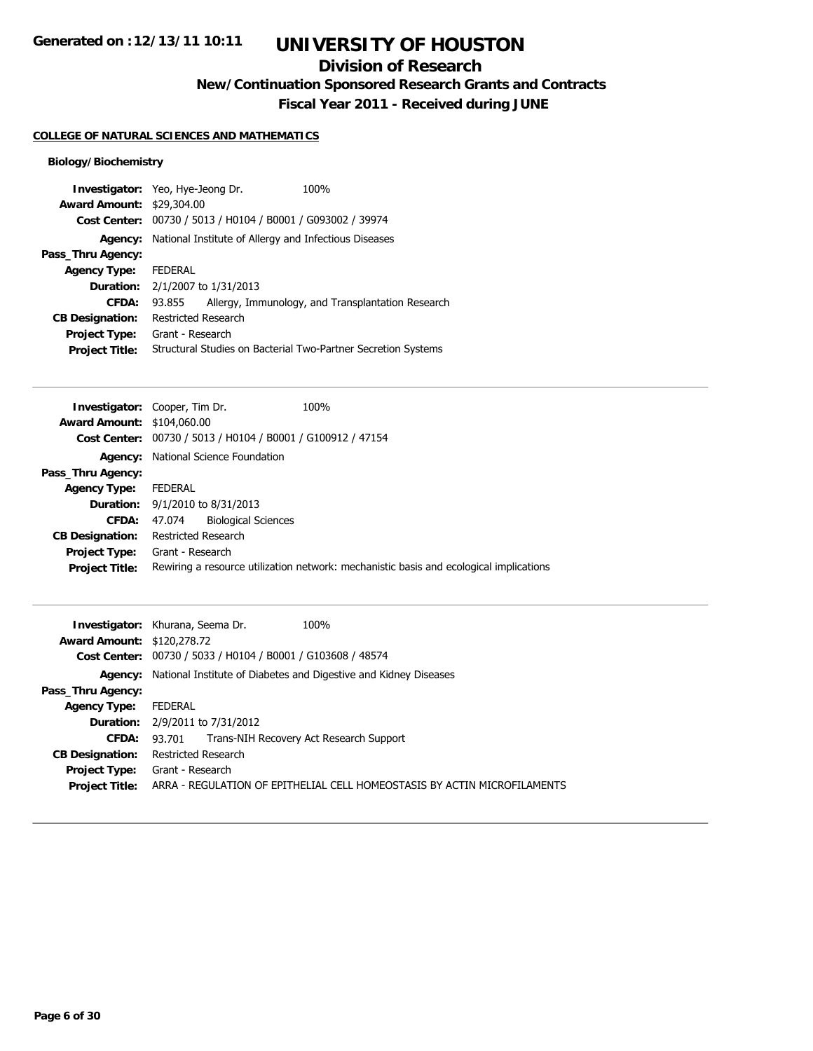# **UNIVERSITY OF HOUSTON**

## **Division of Research**

**New/Continuation Sponsored Research Grants and Contracts**

**Fiscal Year 2011 - Received during JUNE**

## **COLLEGE OF NATURAL SCIENCES AND MATHEMATICS**

## **Biology/Biochemistry**

| <b>Award Amount: \$29,304.00</b> | <b>Investigator:</b> Yeo, Hye-Jeong Dr. | 100%                                                          |
|----------------------------------|-----------------------------------------|---------------------------------------------------------------|
| <b>Cost Center:</b>              |                                         | 00730 / 5013 / H0104 / B0001 / G093002 / 39974                |
| Agency:                          |                                         | National Institute of Allergy and Infectious Diseases         |
| Pass_Thru Agency:                |                                         |                                                               |
| <b>Agency Type:</b>              | <b>FEDERAL</b>                          |                                                               |
| <b>Duration:</b>                 | 2/1/2007 to 1/31/2013                   |                                                               |
| CFDA:                            | 93.855                                  | Allergy, Immunology, and Transplantation Research             |
| <b>CB Designation:</b>           | Restricted Research                     |                                                               |
| <b>Project Type:</b>             | Grant - Research                        |                                                               |
| <b>Project Title:</b>            |                                         | Structural Studies on Bacterial Two-Partner Secretion Systems |

| <b>Investigator:</b> Cooper, Tim Dr.  |                                        |                                                             | 100%                                                                                   |
|---------------------------------------|----------------------------------------|-------------------------------------------------------------|----------------------------------------------------------------------------------------|
| Award Amount: \$104,060.00            |                                        |                                                             |                                                                                        |
|                                       |                                        | Cost Center: 00730 / 5013 / H0104 / B0001 / G100912 / 47154 |                                                                                        |
|                                       |                                        | Agency: National Science Foundation                         |                                                                                        |
| Pass_Thru Agency:                     |                                        |                                                             |                                                                                        |
| <b>Agency Type:</b>                   | FEDERAL                                |                                                             |                                                                                        |
|                                       | <b>Duration:</b> 9/1/2010 to 8/31/2013 |                                                             |                                                                                        |
| CFDA:                                 | 47.074                                 | <b>Biological Sciences</b>                                  |                                                                                        |
| <b>CB Designation:</b>                | Restricted Research                    |                                                             |                                                                                        |
| <b>Project Type:</b> Grant - Research |                                        |                                                             |                                                                                        |
| <b>Project Title:</b>                 |                                        |                                                             | Rewiring a resource utilization network: mechanistic basis and ecological implications |
|                                       |                                        |                                                             |                                                                                        |

|                                   | 100%<br><b>Investigator:</b> Khurana, Seema Dr.                                                                   |
|-----------------------------------|-------------------------------------------------------------------------------------------------------------------|
| <b>Award Amount: \$120,278.72</b> |                                                                                                                   |
|                                   | Cost Center: 00730 / 5033 / H0104 / B0001 / G103608 / 48574                                                       |
|                                   | <b>Agency:</b> National Institute of Diabetes and Digestive and Kidney Diseases                                   |
| Pass_Thru Agency:                 |                                                                                                                   |
| <b>Agency Type:</b>               | FEDERAL                                                                                                           |
|                                   | <b>Duration:</b> 2/9/2011 to 7/31/2012                                                                            |
| <b>CFDA:</b>                      | 93.701 Trans-NIH Recovery Act Research Support                                                                    |
| <b>CB Designation:</b>            | Restricted Research                                                                                               |
| <b>Project Title:</b>             | <b>Project Type:</b> Grant - Research<br>ARRA - REGULATION OF EPITHELIAL CELL HOMEOSTASIS BY ACTIN MICROFILAMENTS |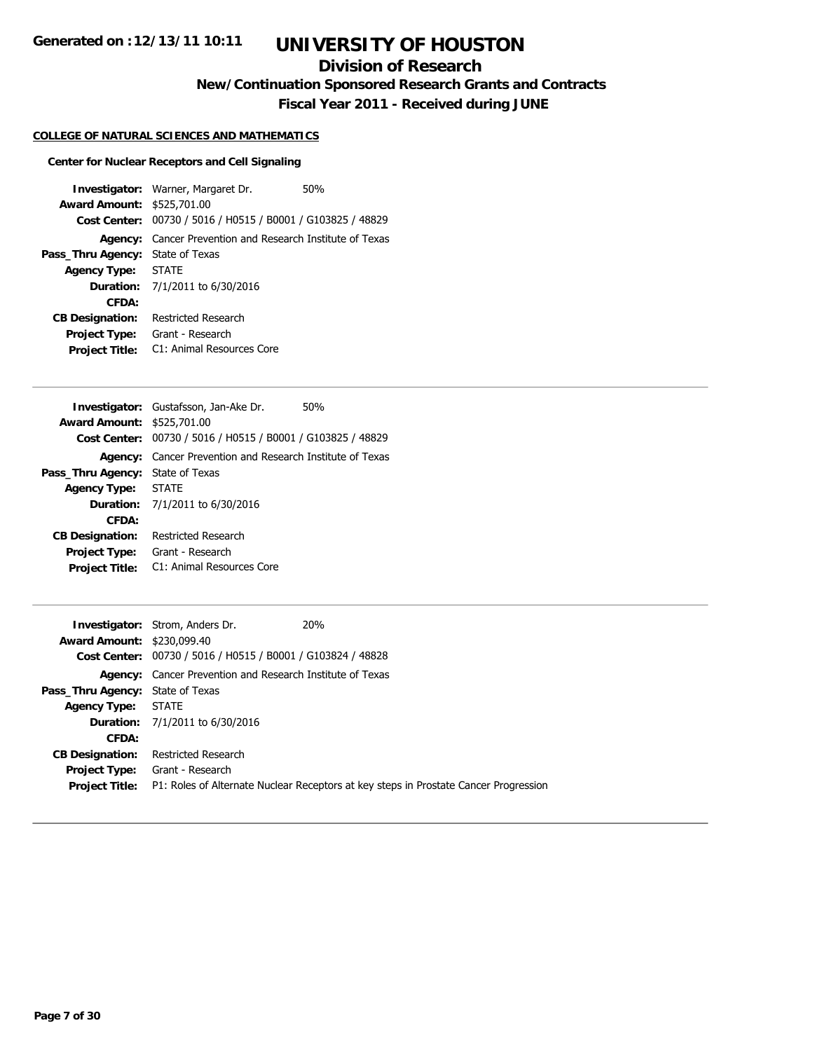## **Division of Research**

**New/Continuation Sponsored Research Grants and Contracts**

**Fiscal Year 2011 - Received during JUNE**

### **COLLEGE OF NATURAL SCIENCES AND MATHEMATICS**

#### **Center for Nuclear Receptors and Cell Signaling**

**Investigator:** Warner, Margaret Dr. 50% **Award Amount:** \$525,701.00 **Cost Center:** 00730 / 5016 / H0515 / B0001 / G103825 / 48829 **Agency:** Cancer Prevention and Research Institute of Texas **Pass\_Thru Agency:** State of Texas **Agency Type:** STATE **Duration:** 7/1/2011 to 6/30/2016 **CFDA: CB Designation:** Restricted Research **Project Type:** Grant - Research **Project Title:** C1: Animal Resources Core

|                                   | <b>Investigator:</b> Gustafsson, Jan-Ake Dr.<br>50%              |
|-----------------------------------|------------------------------------------------------------------|
| <b>Award Amount: \$525,701.00</b> |                                                                  |
|                                   | Cost Center: 00730 / 5016 / H0515 / B0001 / G103825 / 48829      |
|                                   | <b>Agency:</b> Cancer Prevention and Research Institute of Texas |
| Pass_Thru Agency:                 | State of Texas                                                   |
| Agency Type: STATE                |                                                                  |
|                                   | <b>Duration:</b> 7/1/2011 to 6/30/2016                           |
| CFDA:                             |                                                                  |
| <b>CB Designation:</b>            | Restricted Research                                              |
| <b>Project Type:</b>              | Grant - Research                                                 |
| <b>Project Title:</b>             | C1: Animal Resources Core                                        |

|                                         | <b>Investigator:</b> Strom, Anders Dr.                           | <b>20%</b>                                                                           |
|-----------------------------------------|------------------------------------------------------------------|--------------------------------------------------------------------------------------|
| <b>Award Amount: \$230,099.40</b>       |                                                                  |                                                                                      |
|                                         | Cost Center: 00730 / 5016 / H0515 / B0001 / G103824 / 48828      |                                                                                      |
|                                         | <b>Agency:</b> Cancer Prevention and Research Institute of Texas |                                                                                      |
| <b>Pass_Thru Agency: State of Texas</b> |                                                                  |                                                                                      |
| Agency Type: STATE                      |                                                                  |                                                                                      |
|                                         | <b>Duration:</b> 7/1/2011 to 6/30/2016                           |                                                                                      |
| CFDA:                                   |                                                                  |                                                                                      |
| <b>CB Designation:</b>                  | Restricted Research                                              |                                                                                      |
| Project Type:                           | Grant - Research                                                 |                                                                                      |
| <b>Project Title:</b>                   |                                                                  | P1: Roles of Alternate Nuclear Receptors at key steps in Prostate Cancer Progression |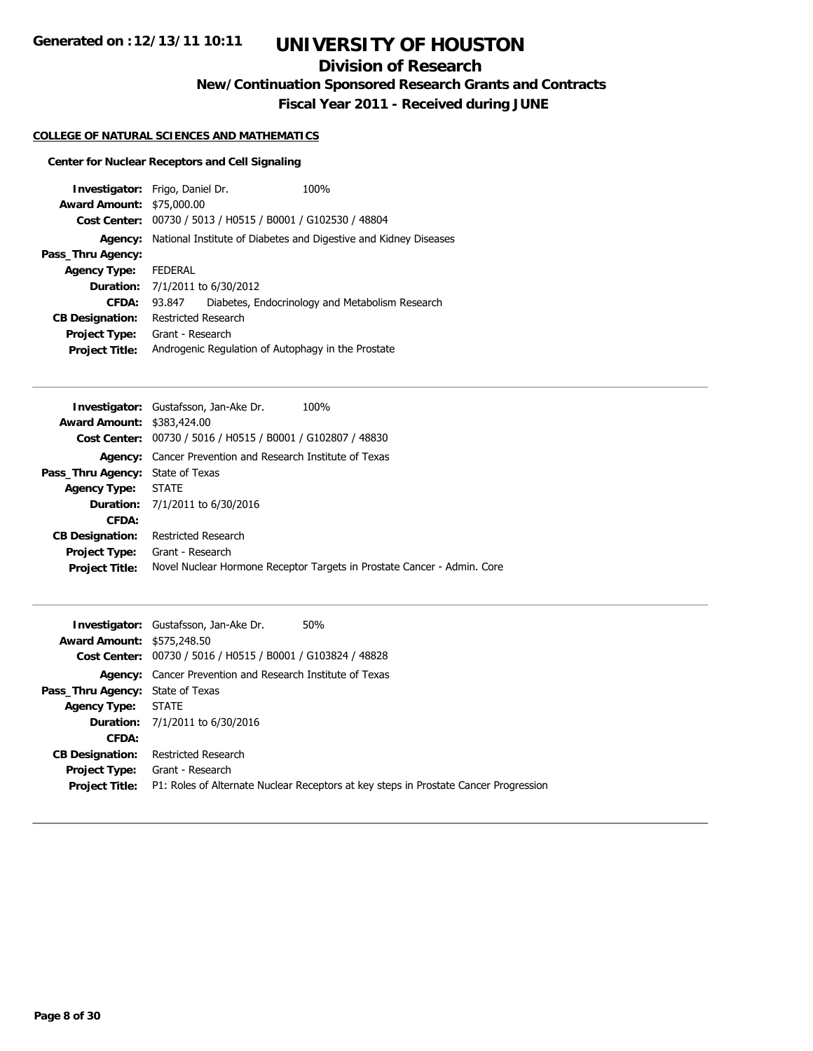## **Division of Research**

**New/Continuation Sponsored Research Grants and Contracts**

**Fiscal Year 2011 - Received during JUNE**

## **COLLEGE OF NATURAL SCIENCES AND MATHEMATICS**

## **Center for Nuclear Receptors and Cell Signaling**

| <b>Investigator:</b> Frigo, Daniel Dr. |                     |                                                | 100%                                                             |
|----------------------------------------|---------------------|------------------------------------------------|------------------------------------------------------------------|
| <b>Award Amount: \$75,000.00</b>       |                     |                                                |                                                                  |
| Cost Center:                           |                     | 00730 / 5013 / H0515 / B0001 / G102530 / 48804 |                                                                  |
| Agency:                                |                     |                                                | National Institute of Diabetes and Digestive and Kidney Diseases |
| Pass_Thru Agency:                      |                     |                                                |                                                                  |
| <b>Agency Type:</b>                    | <b>FEDERAL</b>      |                                                |                                                                  |
| <b>Duration:</b>                       |                     | 7/1/2011 to 6/30/2012                          |                                                                  |
| CFDA:                                  | 93.847              |                                                | Diabetes, Endocrinology and Metabolism Research                  |
| <b>CB Designation:</b>                 | Restricted Research |                                                |                                                                  |
| <b>Project Type:</b>                   | Grant - Research    |                                                |                                                                  |
| <b>Project Title:</b>                  |                     |                                                | Androgenic Regulation of Autophagy in the Prostate               |

|                                         | <b>Investigator:</b> Gustafsson, Jan-Ake Dr.                     | 100%                                                                    |
|-----------------------------------------|------------------------------------------------------------------|-------------------------------------------------------------------------|
| <b>Award Amount: \$383,424.00</b>       |                                                                  |                                                                         |
|                                         | Cost Center: 00730 / 5016 / H0515 / B0001 / G102807 / 48830      |                                                                         |
|                                         | <b>Agency:</b> Cancer Prevention and Research Institute of Texas |                                                                         |
| <b>Pass_Thru Agency: State of Texas</b> |                                                                  |                                                                         |
| Agency Type: STATE                      |                                                                  |                                                                         |
|                                         | <b>Duration:</b> 7/1/2011 to 6/30/2016                           |                                                                         |
| CFDA:                                   |                                                                  |                                                                         |
| <b>CB Designation:</b>                  | Restricted Research                                              |                                                                         |
| <b>Project Type:</b>                    | Grant - Research                                                 |                                                                         |
| <b>Project Title:</b>                   |                                                                  | Novel Nuclear Hormone Receptor Targets in Prostate Cancer - Admin. Core |
|                                         |                                                                  |                                                                         |

|                                   | 50%<br><b>Investigator:</b> Gustafsson, Jan-Ake Dr.                                  |
|-----------------------------------|--------------------------------------------------------------------------------------|
| <b>Award Amount: \$575,248.50</b> |                                                                                      |
|                                   | Cost Center: 00730 / 5016 / H0515 / B0001 / G103824 / 48828                          |
|                                   | <b>Agency:</b> Cancer Prevention and Research Institute of Texas                     |
| Pass_Thru Agency: State of Texas  |                                                                                      |
| Agency Type: STATE                |                                                                                      |
|                                   | <b>Duration:</b> 7/1/2011 to 6/30/2016                                               |
| CFDA:                             |                                                                                      |
| <b>CB Designation:</b>            | Restricted Research                                                                  |
| Project Type:                     | Grant - Research                                                                     |
| <b>Project Title:</b>             | P1: Roles of Alternate Nuclear Receptors at key steps in Prostate Cancer Progression |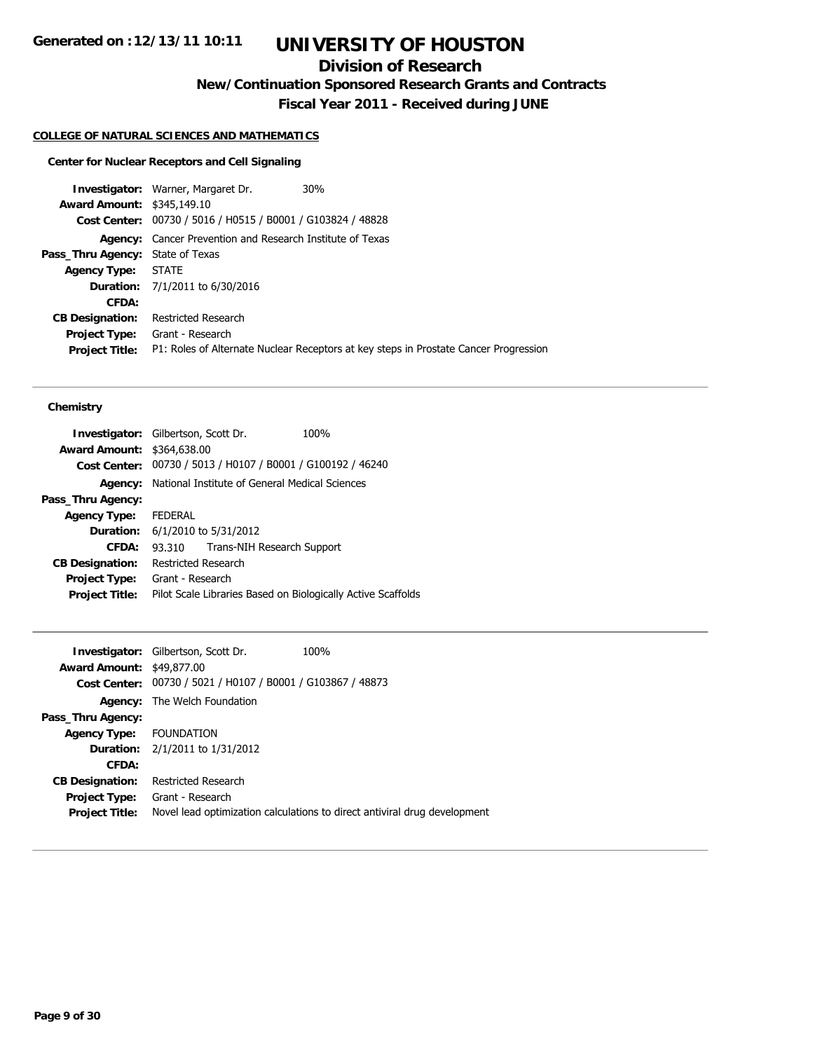## **Division of Research**

**New/Continuation Sponsored Research Grants and Contracts**

**Fiscal Year 2011 - Received during JUNE**

### **COLLEGE OF NATURAL SCIENCES AND MATHEMATICS**

## **Center for Nuclear Receptors and Cell Signaling**

|                                         | 30%<br><b>Investigator: Warner, Margaret Dr.</b>                                     |
|-----------------------------------------|--------------------------------------------------------------------------------------|
| <b>Award Amount: \$345,149.10</b>       |                                                                                      |
|                                         | Cost Center: 00730 / 5016 / H0515 / B0001 / G103824 / 48828                          |
|                                         | <b>Agency:</b> Cancer Prevention and Research Institute of Texas                     |
| <b>Pass_Thru Agency: State of Texas</b> |                                                                                      |
| Agency Type: STATE                      |                                                                                      |
|                                         | <b>Duration:</b> 7/1/2011 to 6/30/2016                                               |
| CFDA:                                   |                                                                                      |
| <b>CB Designation:</b>                  | Restricted Research                                                                  |
|                                         | Project Type: Grant - Research                                                       |
| <b>Project Title:</b>                   | P1: Roles of Alternate Nuclear Receptors at key steps in Prostate Cancer Progression |
|                                         |                                                                                      |

## **Chemistry**

| <b>Investigator:</b> Gilbertson, Scott Dr. |                     |                                                             | 100%                                                         |
|--------------------------------------------|---------------------|-------------------------------------------------------------|--------------------------------------------------------------|
| <b>Award Amount: \$364,638.00</b>          |                     |                                                             |                                                              |
|                                            |                     | Cost Center: 00730 / 5013 / H0107 / B0001 / G100192 / 46240 |                                                              |
| Agency:                                    |                     | National Institute of General Medical Sciences              |                                                              |
| Pass_Thru Agency:                          |                     |                                                             |                                                              |
| <b>Agency Type:</b>                        | <b>FEDERAL</b>      |                                                             |                                                              |
|                                            |                     | <b>Duration:</b> 6/1/2010 to 5/31/2012                      |                                                              |
| CFDA:                                      | 93.310              | Trans-NIH Research Support                                  |                                                              |
| <b>CB Designation:</b>                     | Restricted Research |                                                             |                                                              |
| <b>Project Type:</b>                       | Grant - Research    |                                                             |                                                              |
| <b>Project Title:</b>                      |                     |                                                             | Pilot Scale Libraries Based on Biologically Active Scaffolds |
|                                            |                     |                                                             |                                                              |

|                                  | <b>Investigator:</b> Gilbertson, Scott Dr.                  | 100%                                                                      |
|----------------------------------|-------------------------------------------------------------|---------------------------------------------------------------------------|
| <b>Award Amount: \$49,877.00</b> |                                                             |                                                                           |
|                                  | Cost Center: 00730 / 5021 / H0107 / B0001 / G103867 / 48873 |                                                                           |
|                                  | <b>Agency:</b> The Welch Foundation                         |                                                                           |
| Pass_Thru Agency:                |                                                             |                                                                           |
| Agency Type: FOUNDATION          |                                                             |                                                                           |
|                                  | <b>Duration:</b> 2/1/2011 to 1/31/2012                      |                                                                           |
| CFDA:                            |                                                             |                                                                           |
| <b>CB Designation:</b>           | <b>Restricted Research</b>                                  |                                                                           |
| <b>Project Type:</b>             | Grant - Research                                            |                                                                           |
| <b>Project Title:</b>            |                                                             | Novel lead optimization calculations to direct antiviral drug development |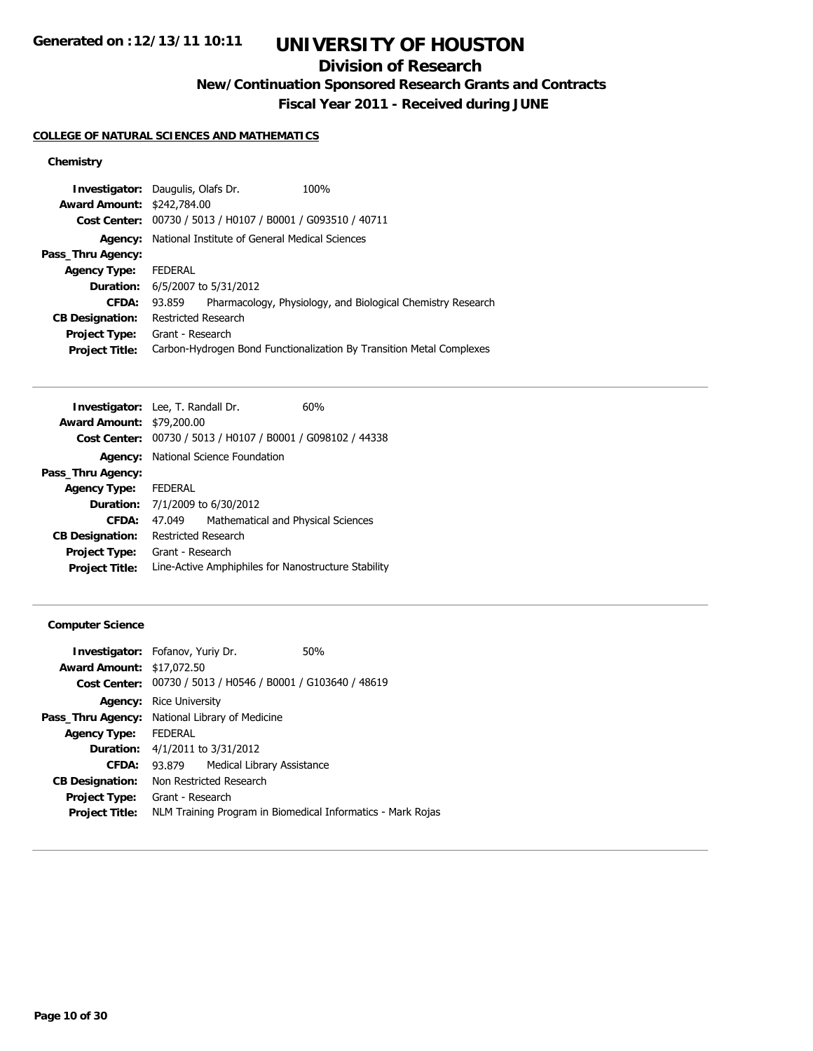# **UNIVERSITY OF HOUSTON**

## **Division of Research**

**New/Continuation Sponsored Research Grants and Contracts**

**Fiscal Year 2011 - Received during JUNE**

## **COLLEGE OF NATURAL SCIENCES AND MATHEMATICS**

## **Chemistry**

|                                   | <b>Investigator:</b> Daugulis, Olafs Dr.       | 100%                                                                 |
|-----------------------------------|------------------------------------------------|----------------------------------------------------------------------|
| <b>Award Amount: \$242,784.00</b> |                                                |                                                                      |
| Cost Center:                      | 00730 / 5013 / H0107 / B0001 / G093510 / 40711 |                                                                      |
| Agency:                           | National Institute of General Medical Sciences |                                                                      |
| Pass_Thru Agency:                 |                                                |                                                                      |
| <b>Agency Type:</b>               | <b>FEDERAL</b>                                 |                                                                      |
| Duration:                         | 6/5/2007 to 5/31/2012                          |                                                                      |
| CFDA:                             | 93.859                                         | Pharmacology, Physiology, and Biological Chemistry Research          |
| <b>CB Designation:</b>            | Restricted Research                            |                                                                      |
| <b>Project Type:</b>              | Grant - Research                               |                                                                      |
| <b>Project Title:</b>             |                                                | Carbon-Hydrogen Bond Functionalization By Transition Metal Complexes |
|                                   |                                                |                                                                      |

| <b>Investigator:</b> Lee, T. Randall Dr. |                     |                                                             | 60% |
|------------------------------------------|---------------------|-------------------------------------------------------------|-----|
| <b>Award Amount: \$79,200.00</b>         |                     |                                                             |     |
|                                          |                     | Cost Center: 00730 / 5013 / H0107 / B0001 / G098102 / 44338 |     |
|                                          |                     | <b>Agency:</b> National Science Foundation                  |     |
| Pass_Thru Agency:                        |                     |                                                             |     |
| <b>Agency Type:</b>                      | FEDERAL             |                                                             |     |
| <b>Duration:</b>                         |                     | 7/1/2009 to 6/30/2012                                       |     |
| CFDA:                                    | 47.049              | Mathematical and Physical Sciences                          |     |
| <b>CB Designation:</b>                   | Restricted Research |                                                             |     |
| <b>Project Type:</b>                     | Grant - Research    |                                                             |     |
| <b>Project Title:</b>                    |                     | Line-Active Amphiphiles for Nanostructure Stability         |     |

## **Computer Science**

| <b>Investigator:</b> Fofanov, Yuriy Dr. |                                                |                                        | 50%                                                         |  |
|-----------------------------------------|------------------------------------------------|----------------------------------------|-------------------------------------------------------------|--|
| <b>Award Amount: \$17,072.50</b>        |                                                |                                        |                                                             |  |
|                                         |                                                |                                        | Cost Center: 00730 / 5013 / H0546 / B0001 / G103640 / 48619 |  |
| Agency:                                 | <b>Rice University</b>                         |                                        |                                                             |  |
|                                         | Pass_Thru Agency: National Library of Medicine |                                        |                                                             |  |
| <b>Agency Type:</b>                     | <b>FEDERAL</b>                                 |                                        |                                                             |  |
|                                         |                                                | <b>Duration:</b> 4/1/2011 to 3/31/2012 |                                                             |  |
| CFDA:                                   | 93.879                                         | Medical Library Assistance             |                                                             |  |
| <b>CB Designation:</b>                  |                                                | Non Restricted Research                |                                                             |  |
| <b>Project Type:</b>                    | Grant - Research                               |                                        |                                                             |  |
| <b>Project Title:</b>                   |                                                |                                        | NLM Training Program in Biomedical Informatics - Mark Rojas |  |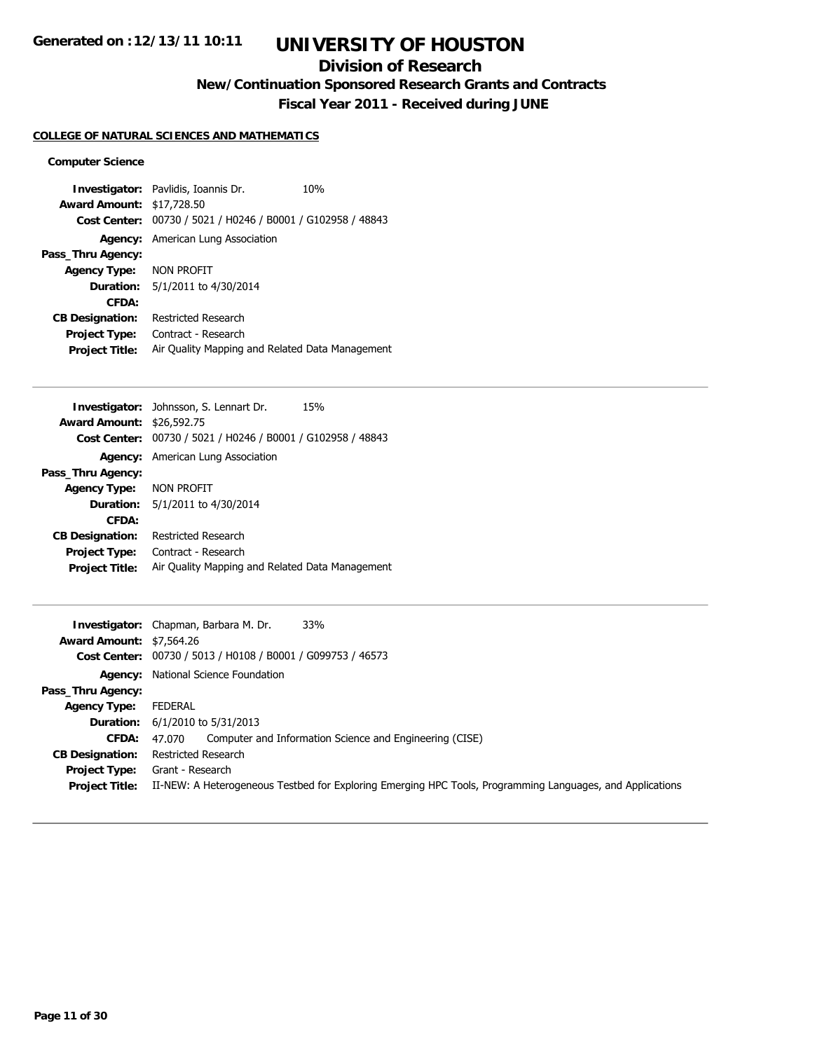## **Division of Research**

**New/Continuation Sponsored Research Grants and Contracts**

**Fiscal Year 2011 - Received during JUNE**

### **COLLEGE OF NATURAL SCIENCES AND MATHEMATICS**

### **Computer Science**

**Investigator:** Pavlidis, Ioannis Dr. 10% **Award Amount:** \$17,728.50 **Cost Center:** 00730 / 5021 / H0246 / B0001 / G102958 / 48843 **Agency:** American Lung Association **Pass\_Thru Agency: Agency Type:** NON PROFIT **Duration:** 5/1/2011 to 4/30/2014 **CFDA: CB Designation:** Restricted Research **Project Type:** Contract - Research **Project Title:** Air Quality Mapping and Related Data Management

|                                  | <b>Investigator:</b> Johnsson, S. Lennart Dr.<br>15%        |  |  |
|----------------------------------|-------------------------------------------------------------|--|--|
| <b>Award Amount: \$26,592.75</b> |                                                             |  |  |
|                                  | Cost Center: 00730 / 5021 / H0246 / B0001 / G102958 / 48843 |  |  |
|                                  | <b>Agency:</b> American Lung Association                    |  |  |
| Pass_Thru Agency:                |                                                             |  |  |
| Agency Type: NON PROFIT          |                                                             |  |  |
|                                  | <b>Duration:</b> 5/1/2011 to 4/30/2014                      |  |  |
| CFDA:                            |                                                             |  |  |
| <b>CB Designation:</b>           | Restricted Research                                         |  |  |
| <b>Project Type:</b>             | Contract - Research                                         |  |  |
| <b>Project Title:</b>            | Air Quality Mapping and Related Data Management             |  |  |
|                                  |                                                             |  |  |

|                                 | 33%<br><b>Investigator:</b> Chapman, Barbara M. Dr.                                                       |
|---------------------------------|-----------------------------------------------------------------------------------------------------------|
| <b>Award Amount: \$7,564.26</b> |                                                                                                           |
|                                 | Cost Center: 00730 / 5013 / H0108 / B0001 / G099753 / 46573                                               |
|                                 | Agency: National Science Foundation                                                                       |
| Pass_Thru Agency:               |                                                                                                           |
| <b>Agency Type:</b>             | FEDERAL                                                                                                   |
| <b>Duration:</b>                | 6/1/2010 to 5/31/2013                                                                                     |
| <b>CFDA:</b>                    | Computer and Information Science and Engineering (CISE)<br>47.070                                         |
| <b>CB Designation:</b>          | <b>Restricted Research</b>                                                                                |
| Project Type:                   | Grant - Research                                                                                          |
| <b>Project Title:</b>           | II-NEW: A Heterogeneous Testbed for Exploring Emerging HPC Tools, Programming Languages, and Applications |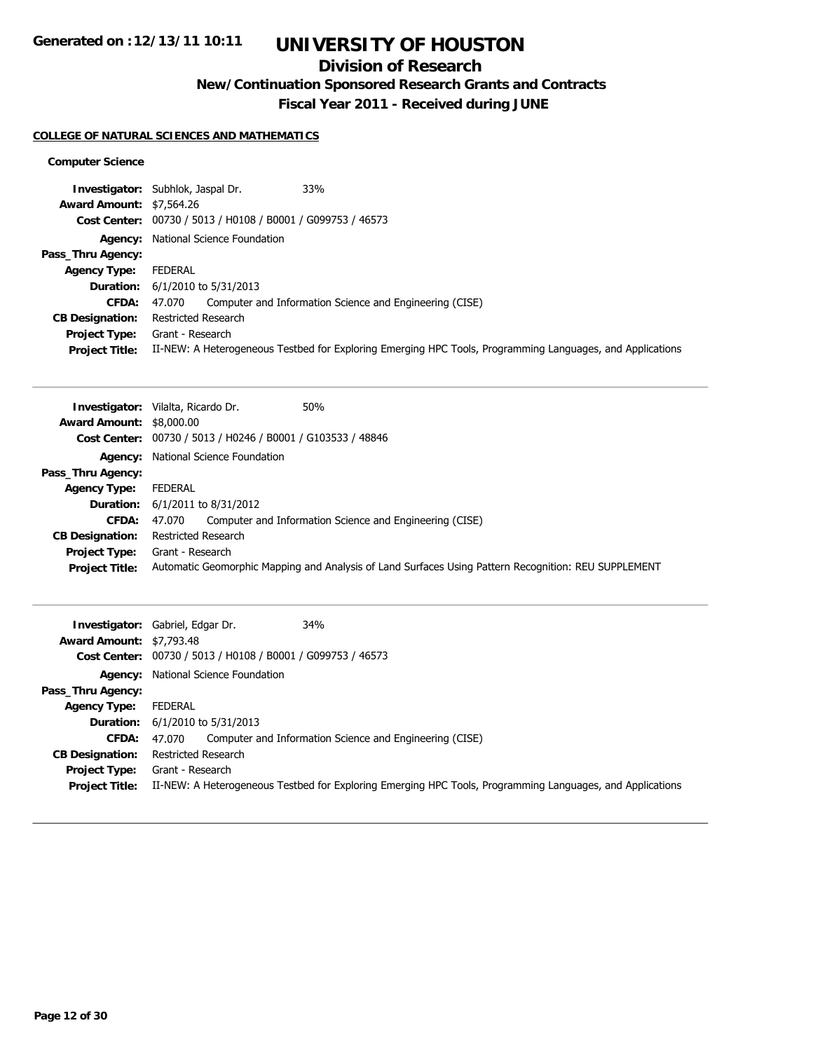# **UNIVERSITY OF HOUSTON**

## **Division of Research**

**New/Continuation Sponsored Research Grants and Contracts**

**Fiscal Year 2011 - Received during JUNE**

## **COLLEGE OF NATURAL SCIENCES AND MATHEMATICS**

## **Computer Science**

|                                 | 33%<br><b>Investigator:</b> Subhlok, Jaspal Dr.                                                           |
|---------------------------------|-----------------------------------------------------------------------------------------------------------|
| <b>Award Amount: \$7,564.26</b> |                                                                                                           |
|                                 | Cost Center: 00730 / 5013 / H0108 / B0001 / G099753 / 46573                                               |
|                                 | Agency: National Science Foundation                                                                       |
| Pass_Thru Agency:               |                                                                                                           |
| <b>Agency Type:</b>             | FEDERAL                                                                                                   |
|                                 | <b>Duration:</b> 6/1/2010 to 5/31/2013                                                                    |
| <b>CFDA:</b>                    | 47.070 Computer and Information Science and Engineering (CISE)                                            |
| <b>CB Designation:</b>          | Restricted Research                                                                                       |
| <b>Project Type:</b>            | Grant - Research                                                                                          |
| <b>Project Title:</b>           | II-NEW: A Heterogeneous Testbed for Exploring Emerging HPC Tools, Programming Languages, and Applications |

|                                 | 50%<br><b>Investigator:</b> Vilalta, Ricardo Dr.                                                     |
|---------------------------------|------------------------------------------------------------------------------------------------------|
| <b>Award Amount: \$8,000.00</b> |                                                                                                      |
|                                 | Cost Center: 00730 / 5013 / H0246 / B0001 / G103533 / 48846                                          |
|                                 | Agency: National Science Foundation                                                                  |
| Pass_Thru Agency:               |                                                                                                      |
| <b>Agency Type:</b>             | FEDERAL                                                                                              |
|                                 | <b>Duration:</b> $6/1/2011$ to $8/31/2012$                                                           |
| <b>CFDA:</b>                    | Computer and Information Science and Engineering (CISE)<br>47.070                                    |
| <b>CB Designation:</b>          | Restricted Research                                                                                  |
| <b>Project Type:</b>            | Grant - Research                                                                                     |
| <b>Project Title:</b>           | Automatic Geomorphic Mapping and Analysis of Land Surfaces Using Pattern Recognition: REU SUPPLEMENT |

| <b>Award Amount: \$7,793.48</b> | <b>34%</b><br><b>Investigator:</b> Gabriel, Edgar Dr.<br>Cost Center: 00730 / 5013 / H0108 / B0001 / G099753 / 46573 |  |
|---------------------------------|----------------------------------------------------------------------------------------------------------------------|--|
|                                 | Agency: National Science Foundation                                                                                  |  |
| Pass_Thru Agency:               |                                                                                                                      |  |
| <b>Agency Type:</b>             | FEDERAL                                                                                                              |  |
|                                 | <b>Duration:</b> 6/1/2010 to 5/31/2013                                                                               |  |
| <b>CFDA:</b>                    | Computer and Information Science and Engineering (CISE)<br>47.070                                                    |  |
| <b>CB Designation:</b>          | Restricted Research                                                                                                  |  |
| <b>Project Type:</b>            | Grant - Research                                                                                                     |  |
| <b>Project Title:</b>           | II-NEW: A Heterogeneous Testbed for Exploring Emerging HPC Tools, Programming Languages, and Applications            |  |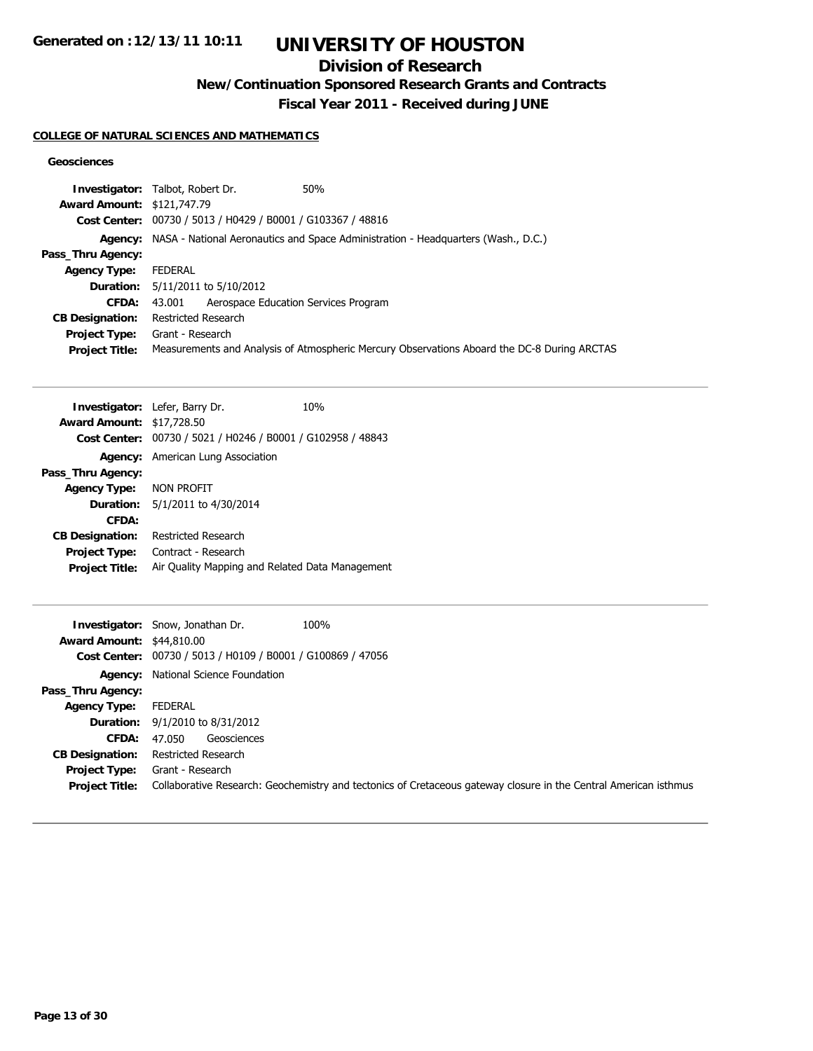# **UNIVERSITY OF HOUSTON**

## **Division of Research**

**New/Continuation Sponsored Research Grants and Contracts**

**Fiscal Year 2011 - Received during JUNE**

## **COLLEGE OF NATURAL SCIENCES AND MATHEMATICS**

## **Geosciences**

| <b>Investigator:</b> Talbot, Robert Dr.                     | 50%                                                                                         |
|-------------------------------------------------------------|---------------------------------------------------------------------------------------------|
| <b>Award Amount: \$121,747.79</b>                           |                                                                                             |
| Cost Center: 00730 / 5013 / H0429 / B0001 / G103367 / 48816 |                                                                                             |
|                                                             | Agency: NASA - National Aeronautics and Space Administration - Headquarters (Wash., D.C.)   |
|                                                             |                                                                                             |
| FEDERAL                                                     |                                                                                             |
| Duration: 5/11/2011 to 5/10/2012                            |                                                                                             |
| 43.001 Aerospace Education Services Program                 |                                                                                             |
| Restricted Research                                         |                                                                                             |
| <b>Project Type:</b> Grant - Research                       |                                                                                             |
|                                                             | Measurements and Analysis of Atmospheric Mercury Observations Aboard the DC-8 During ARCTAS |
|                                                             |                                                                                             |

|                                                             | 10%                                                                                                                  |  |
|-------------------------------------------------------------|----------------------------------------------------------------------------------------------------------------------|--|
|                                                             |                                                                                                                      |  |
| Cost Center: 00730 / 5021 / H0246 / B0001 / G102958 / 48843 |                                                                                                                      |  |
| <b>Agency:</b> American Lung Association                    |                                                                                                                      |  |
|                                                             |                                                                                                                      |  |
| NON PROFIT                                                  |                                                                                                                      |  |
| 5/1/2011 to 4/30/2014                                       |                                                                                                                      |  |
|                                                             |                                                                                                                      |  |
| Restricted Research                                         |                                                                                                                      |  |
| Contract - Research                                         |                                                                                                                      |  |
| Air Quality Mapping and Related Data Management             |                                                                                                                      |  |
|                                                             | <b>Investigator:</b> Lefer, Barry Dr.<br><b>Award Amount: \$17,728.50</b><br><b>Agency Type:</b><br><b>Duration:</b> |  |

|                                  | 100%<br><b>Investigator:</b> Snow, Jonathan Dr.                                                                  |
|----------------------------------|------------------------------------------------------------------------------------------------------------------|
| <b>Award Amount: \$44,810.00</b> |                                                                                                                  |
|                                  | Cost Center: 00730 / 5013 / H0109 / B0001 / G100869 / 47056                                                      |
| Agency:                          | National Science Foundation                                                                                      |
| Pass_Thru Agency:                |                                                                                                                  |
| <b>Agency Type:</b>              | FEDERAL                                                                                                          |
|                                  | <b>Duration:</b> 9/1/2010 to 8/31/2012                                                                           |
| <b>CFDA:</b>                     | Geosciences<br>47.050                                                                                            |
| <b>CB Designation:</b>           | Restricted Research                                                                                              |
| Project Type:                    | Grant - Research                                                                                                 |
| <b>Project Title:</b>            | Collaborative Research: Geochemistry and tectonics of Cretaceous gateway closure in the Central American isthmus |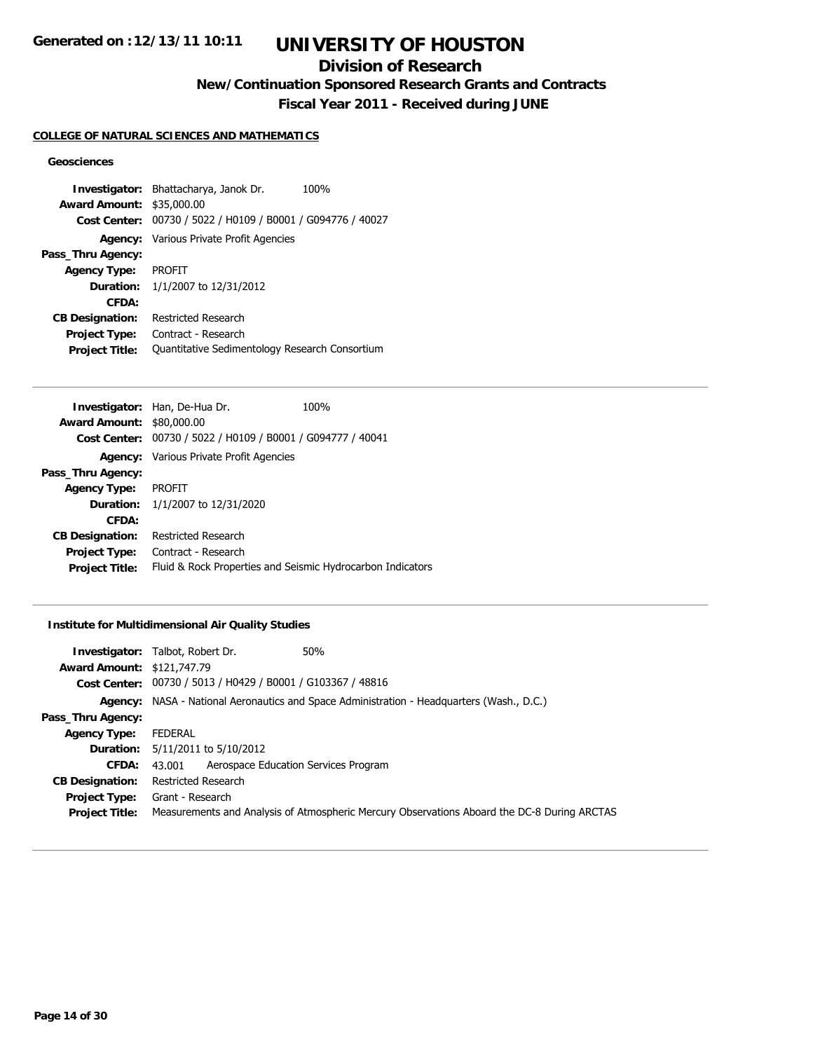## **Division of Research**

**New/Continuation Sponsored Research Grants and Contracts**

**Fiscal Year 2011 - Received during JUNE**

### **COLLEGE OF NATURAL SCIENCES AND MATHEMATICS**

## **Geosciences**

**Investigator:** Bhattacharya, Janok Dr. 100% **Award Amount:** \$35,000.00 **Cost Center:** 00730 / 5022 / H0109 / B0001 / G094776 / 40027 **Agency:** Various Private Profit Agencies **Pass\_Thru Agency: Agency Type:** PROFIT **Duration:** 1/1/2007 to 12/31/2012 **CFDA: CB Designation:** Restricted Research **Project Type:** Contract - Research **Project Title:** Quantitative Sedimentology Research Consortium

|                                  | Investigator: Han, De-Hua Dr.                               | 100% |
|----------------------------------|-------------------------------------------------------------|------|
| <b>Award Amount: \$80,000.00</b> |                                                             |      |
|                                  | Cost Center: 00730 / 5022 / H0109 / B0001 / G094777 / 40041 |      |
|                                  | <b>Agency:</b> Various Private Profit Agencies              |      |
| Pass_Thru Agency:                |                                                             |      |
| <b>Agency Type:</b>              | PROFIT                                                      |      |
|                                  | <b>Duration:</b> 1/1/2007 to 12/31/2020                     |      |
| CFDA:                            |                                                             |      |
| <b>CB Designation:</b>           | Restricted Research                                         |      |
| <b>Project Type:</b>             | Contract - Research                                         |      |
| <b>Project Title:</b>            | Fluid & Rock Properties and Seismic Hydrocarbon Indicators  |      |
|                                  |                                                             |      |

### **Institute for Multidimensional Air Quality Studies**

|                                   | 50%<br><b>Investigator:</b> Talbot, Robert Dr.              |                                                                                             |
|-----------------------------------|-------------------------------------------------------------|---------------------------------------------------------------------------------------------|
| <b>Award Amount: \$121,747.79</b> |                                                             |                                                                                             |
|                                   | Cost Center: 00730 / 5013 / H0429 / B0001 / G103367 / 48816 |                                                                                             |
|                                   |                                                             | Agency: NASA - National Aeronautics and Space Administration - Headquarters (Wash., D.C.)   |
| Pass_Thru Agency:                 |                                                             |                                                                                             |
| <b>Agency Type:</b>               | <b>FEDERAL</b>                                              |                                                                                             |
|                                   | <b>Duration:</b> 5/11/2011 to 5/10/2012                     |                                                                                             |
| CFDA:                             | Aerospace Education Services Program<br>43.001              |                                                                                             |
| <b>CB Designation:</b>            | Restricted Research                                         |                                                                                             |
| <b>Project Type:</b>              | Grant - Research                                            |                                                                                             |
| <b>Project Title:</b>             |                                                             | Measurements and Analysis of Atmospheric Mercury Observations Aboard the DC-8 During ARCTAS |
|                                   |                                                             |                                                                                             |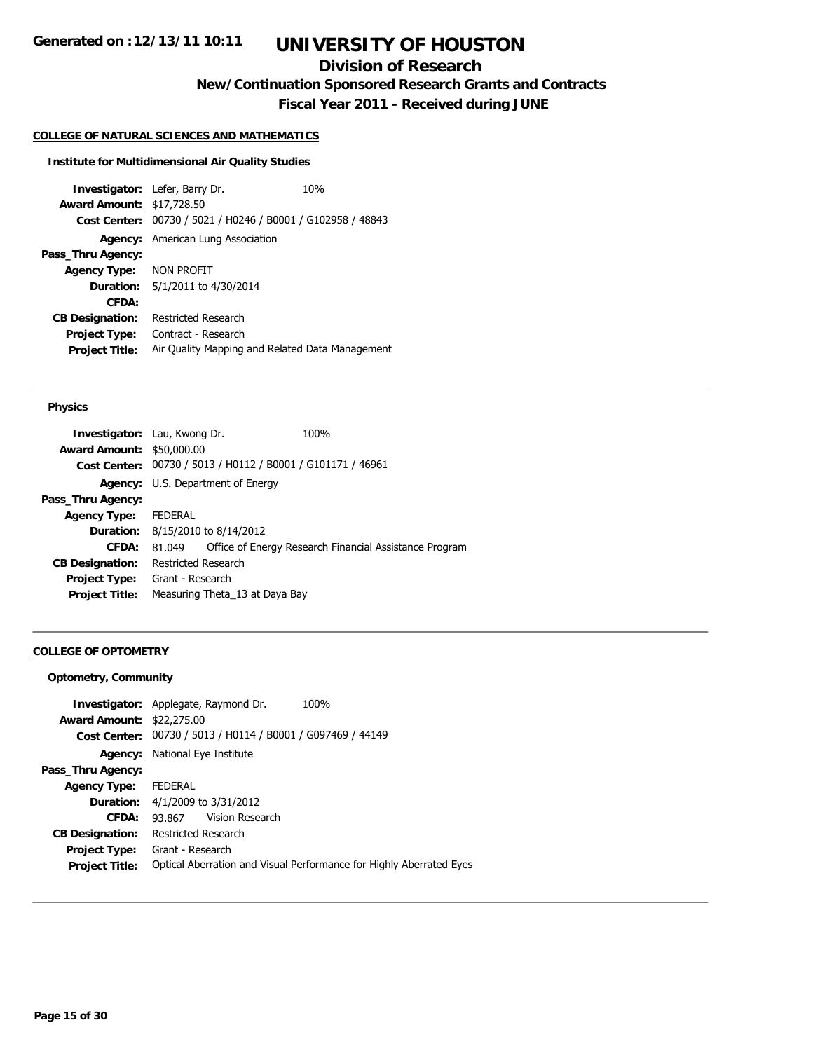## **Division of Research**

**New/Continuation Sponsored Research Grants and Contracts**

**Fiscal Year 2011 - Received during JUNE**

#### **COLLEGE OF NATURAL SCIENCES AND MATHEMATICS**

#### **Institute for Multidimensional Air Quality Studies**

**Investigator:** Lefer, Barry Dr. 10% **Award Amount:** \$17,728.50 **Cost Center:** 00730 / 5021 / H0246 / B0001 / G102958 / 48843 **Agency:** American Lung Association **Pass\_Thru Agency: Agency Type:** NON PROFIT **Duration:** 5/1/2011 to 4/30/2014 **CFDA: CB Designation:** Restricted Research **Project Type:** Contract - Research **Project Title:** Air Quality Mapping and Related Data Management

## **Physics**

| <b>Investigator: Lau, Kwong Dr.</b> |                     |                                                             | 100%                                                   |
|-------------------------------------|---------------------|-------------------------------------------------------------|--------------------------------------------------------|
| <b>Award Amount: \$50,000.00</b>    |                     |                                                             |                                                        |
|                                     |                     | Cost Center: 00730 / 5013 / H0112 / B0001 / G101171 / 46961 |                                                        |
|                                     |                     | <b>Agency:</b> U.S. Department of Energy                    |                                                        |
| Pass_Thru Agency:                   |                     |                                                             |                                                        |
| <b>Agency Type:</b>                 | FEDERAL             |                                                             |                                                        |
|                                     |                     | <b>Duration:</b> 8/15/2010 to 8/14/2012                     |                                                        |
| <b>CFDA:</b>                        | 81.049              |                                                             | Office of Energy Research Financial Assistance Program |
| <b>CB Designation:</b>              | Restricted Research |                                                             |                                                        |
| Project Type: Grant - Research      |                     |                                                             |                                                        |
| <b>Project Title:</b>               |                     | Measuring Theta_13 at Daya Bay                              |                                                        |
|                                     |                     |                                                             |                                                        |

### **COLLEGE OF OPTOMETRY**

## **Optometry, Community**

| <b>Award Amount: \$22,275.00</b> | <b>Investigator:</b> Applegate, Raymond Dr.    | 100%                                                                |
|----------------------------------|------------------------------------------------|---------------------------------------------------------------------|
| Cost Center:                     | 00730 / 5013 / H0114 / B0001 / G097469 / 44149 |                                                                     |
| Agency:                          | National Eye Institute                         |                                                                     |
| Pass_Thru Agency:                |                                                |                                                                     |
| <b>Agency Type:</b>              | <b>FEDERAL</b>                                 |                                                                     |
|                                  | <b>Duration:</b> 4/1/2009 to 3/31/2012         |                                                                     |
| CFDA:                            | 93.867 Vision Research                         |                                                                     |
| <b>CB Designation:</b>           | Restricted Research                            |                                                                     |
| <b>Project Type:</b>             | Grant - Research                               |                                                                     |
| <b>Project Title:</b>            |                                                | Optical Aberration and Visual Performance for Highly Aberrated Eyes |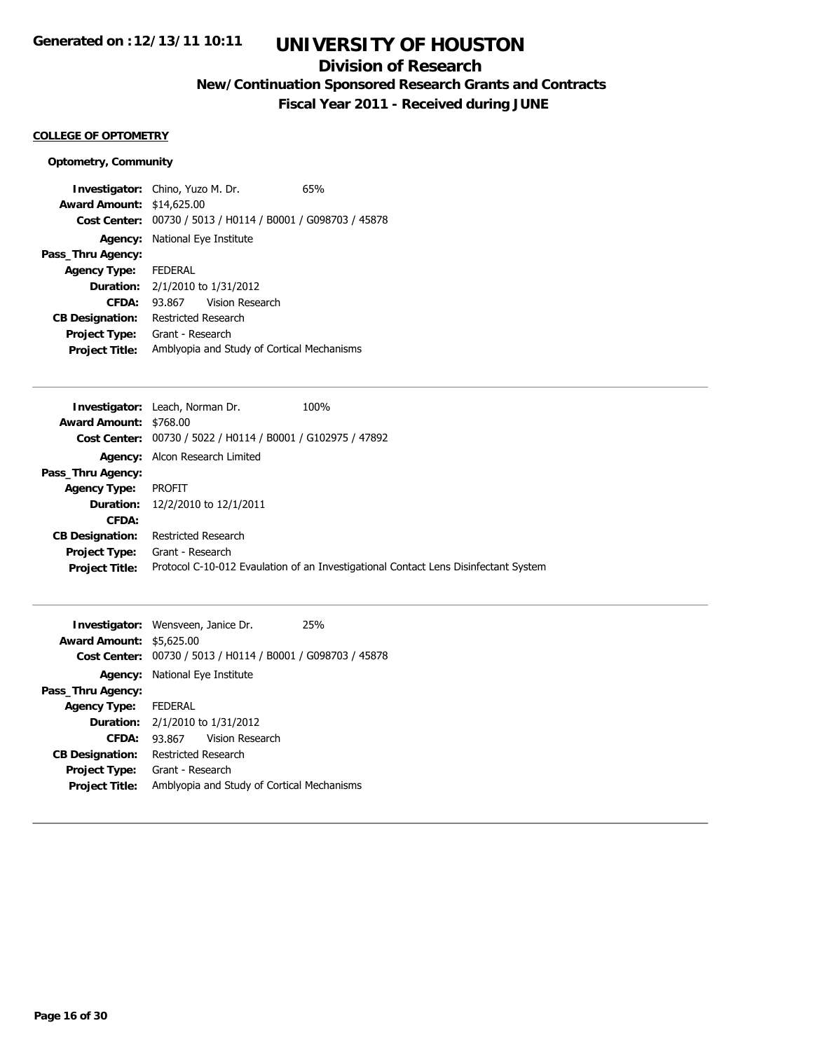## **Division of Research**

**New/Continuation Sponsored Research Grants and Contracts**

**Fiscal Year 2011 - Received during JUNE**

### **COLLEGE OF OPTOMETRY**

## **Optometry, Community**

| <b>Investigator:</b> Chino, Yuzo M. Dr. |                                            |                                                | 65% |
|-----------------------------------------|--------------------------------------------|------------------------------------------------|-----|
| <b>Award Amount: \$14,625.00</b>        |                                            |                                                |     |
| Cost Center:                            |                                            | 00730 / 5013 / H0114 / B0001 / G098703 / 45878 |     |
|                                         | <b>Agency:</b> National Eye Institute      |                                                |     |
| Pass_Thru Agency:                       |                                            |                                                |     |
| Agency Type: FEDERAL                    |                                            |                                                |     |
| <b>Duration:</b>                        | 2/1/2010 to 1/31/2012                      |                                                |     |
| CFDA:                                   |                                            | 93.867 Vision Research                         |     |
| <b>CB Designation:</b>                  | Restricted Research                        |                                                |     |
| Project Type:                           | Grant - Research                           |                                                |     |
| <b>Project Title:</b>                   | Amblyopia and Study of Cortical Mechanisms |                                                |     |

|                        | 100%<br><b>Investigator:</b> Leach, Norman Dr.                                      |
|------------------------|-------------------------------------------------------------------------------------|
| Award Amount: \$768.00 |                                                                                     |
|                        | Cost Center: 00730 / 5022 / H0114 / B0001 / G102975 / 47892                         |
|                        | Agency: Alcon Research Limited                                                      |
| Pass_Thru Agency:      |                                                                                     |
| <b>Agency Type:</b>    | <b>PROFIT</b>                                                                       |
|                        | Duration: 12/2/2010 to 12/1/2011                                                    |
| <b>CFDA:</b>           |                                                                                     |
| <b>CB Designation:</b> | Restricted Research                                                                 |
| <b>Project Type:</b>   | Grant - Research                                                                    |
| <b>Project Title:</b>  | Protocol C-10-012 Evaulation of an Investigational Contact Lens Disinfectant System |
|                        |                                                                                     |

|                                 | <b>Investigator:</b> Wensveen, Janice Dr.<br>25% |                                                             |  |  |
|---------------------------------|--------------------------------------------------|-------------------------------------------------------------|--|--|
| <b>Award Amount: \$5,625.00</b> |                                                  |                                                             |  |  |
|                                 |                                                  | Cost Center: 00730 / 5013 / H0114 / B0001 / G098703 / 45878 |  |  |
|                                 |                                                  | <b>Agency:</b> National Eye Institute                       |  |  |
| Pass_Thru Agency:               |                                                  |                                                             |  |  |
| Agency Type: FEDERAL            |                                                  |                                                             |  |  |
|                                 | <b>Duration:</b> 2/1/2010 to 1/31/2012           |                                                             |  |  |
| CFDA:                           |                                                  | 93.867 Vision Research                                      |  |  |
| <b>CB Designation:</b>          | Restricted Research                              |                                                             |  |  |
| <b>Project Type:</b>            | Grant - Research                                 |                                                             |  |  |
| <b>Project Title:</b>           | Amblyopia and Study of Cortical Mechanisms       |                                                             |  |  |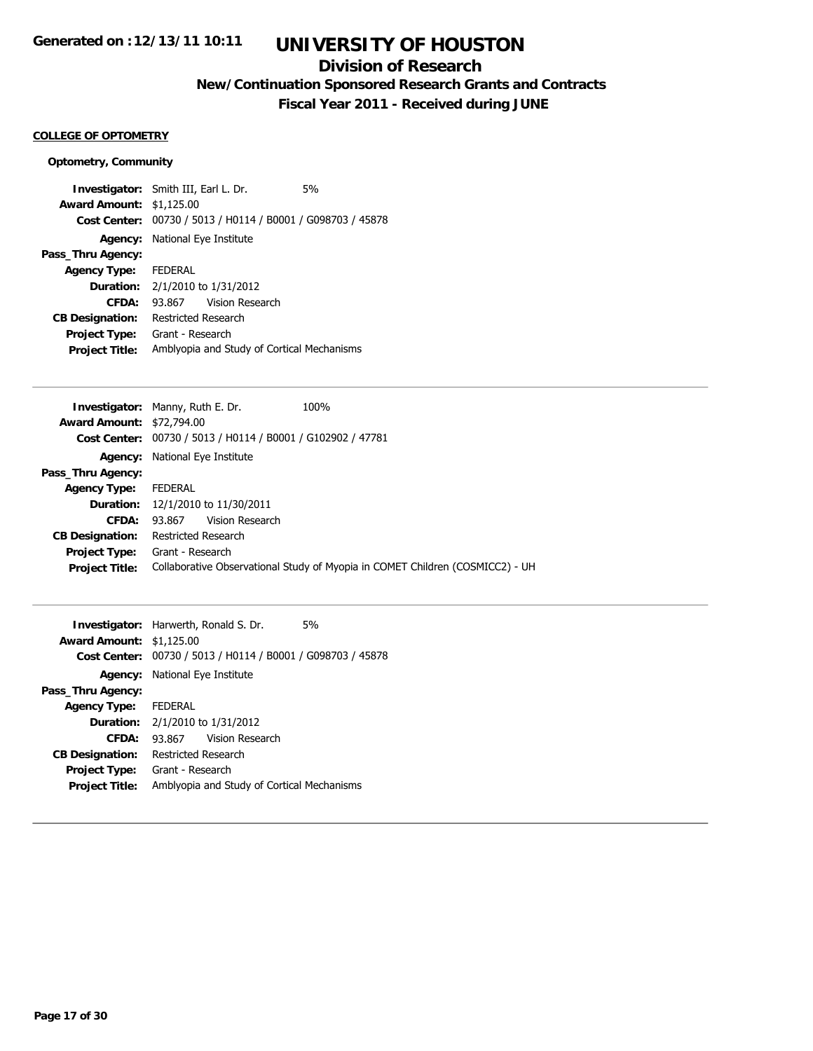## **Division of Research**

**New/Continuation Sponsored Research Grants and Contracts**

**Fiscal Year 2011 - Received during JUNE**

### **COLLEGE OF OPTOMETRY**

## **Optometry, Community**

| <b>Investigator:</b> Smith III, Earl L. Dr.<br>5% |                                                |  |  |
|---------------------------------------------------|------------------------------------------------|--|--|
| \$1,125.00<br><b>Award Amount:</b>                |                                                |  |  |
| Cost Center: .                                    | 00730 / 5013 / H0114 / B0001 / G098703 / 45878 |  |  |
| National Eye Institute<br>Agency:                 |                                                |  |  |
| Pass_Thru Agency:                                 |                                                |  |  |
| Agency Type: FEDERAL                              |                                                |  |  |
| 2/1/2010 to 1/31/2012<br><b>Duration:</b>         |                                                |  |  |
| 93.867 Vision Research<br>CFDA:                   |                                                |  |  |
| Restricted Research<br><b>CB Designation:</b>     |                                                |  |  |
| Grant - Research<br>Project Type:                 |                                                |  |  |
| <b>Project Title:</b>                             | Amblyopia and Study of Cortical Mechanisms     |  |  |

|                                  | <b>Investigator: Manny, Ruth E. Dr.</b>                     | 100%                                                                          |
|----------------------------------|-------------------------------------------------------------|-------------------------------------------------------------------------------|
| <b>Award Amount: \$72,794.00</b> |                                                             |                                                                               |
|                                  | Cost Center: 00730 / 5013 / H0114 / B0001 / G102902 / 47781 |                                                                               |
| Agency:                          | National Eye Institute                                      |                                                                               |
| Pass_Thru Agency:                |                                                             |                                                                               |
| <b>Agency Type:</b>              | FEDERAL                                                     |                                                                               |
| <b>Duration:</b>                 | 12/1/2010 to 11/30/2011                                     |                                                                               |
| CFDA:                            | Vision Research<br>93.867                                   |                                                                               |
| <b>CB Designation:</b>           | Restricted Research                                         |                                                                               |
| <b>Project Type:</b>             | Grant - Research                                            |                                                                               |
| <b>Project Title:</b>            |                                                             | Collaborative Observational Study of Myopia in COMET Children (COSMICC2) - UH |
|                                  |                                                             |                                                                               |

|                                 | <b>Investigator:</b> Harwerth, Ronald S. Dr.                | 5% |  |
|---------------------------------|-------------------------------------------------------------|----|--|
| <b>Award Amount: \$1,125.00</b> |                                                             |    |  |
|                                 | Cost Center: 00730 / 5013 / H0114 / B0001 / G098703 / 45878 |    |  |
|                                 | <b>Agency:</b> National Eye Institute                       |    |  |
| Pass_Thru Agency:               |                                                             |    |  |
| <b>Agency Type:</b>             | <b>FEDERAL</b>                                              |    |  |
|                                 | <b>Duration:</b> 2/1/2010 to 1/31/2012                      |    |  |
| CFDA:                           | Vision Research<br>93.867                                   |    |  |
| <b>CB Designation:</b>          | Restricted Research                                         |    |  |
| <b>Project Type:</b>            | Grant - Research                                            |    |  |
| <b>Project Title:</b>           | Amblyopia and Study of Cortical Mechanisms                  |    |  |
|                                 |                                                             |    |  |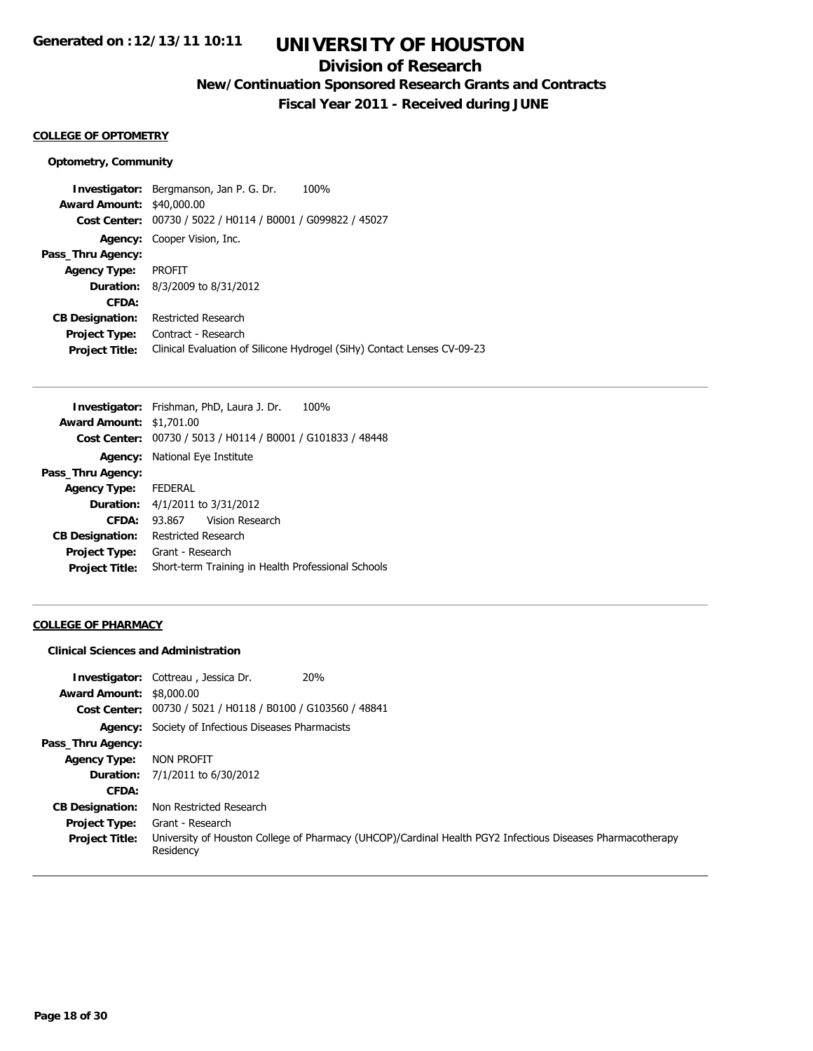## **Division of Research**

**New/Continuation Sponsored Research Grants and Contracts**

**Fiscal Year 2011 - Received during JUNE**

## **COLLEGE OF OPTOMETRY**

#### **Optometry, Community**

**Investigator:** Bergmanson, Jan P. G. Dr. 100% **Award Amount:** \$40,000.00 **Cost Center:** 00730 / 5022 / H0114 / B0001 / G099822 / 45027 **Agency:** Cooper Vision, Inc. **Pass\_Thru Agency: Agency Type:** PROFIT **Duration:** 8/3/2009 to 8/31/2012 **CFDA: CB Designation:** Restricted Research **Project Type:** Contract - Research **Project Title:** Clinical Evaluation of Silicone Hydrogel (SiHy) Contact Lenses CV-09-23

|                                 | 100%<br><b>Investigator:</b> Frishman, PhD, Laura J. Dr.    |  |  |
|---------------------------------|-------------------------------------------------------------|--|--|
| <b>Award Amount: \$1,701.00</b> |                                                             |  |  |
|                                 | Cost Center: 00730 / 5013 / H0114 / B0001 / G101833 / 48448 |  |  |
| Agency:                         | National Eye Institute                                      |  |  |
| Pass_Thru Agency:               |                                                             |  |  |
| <b>Agency Type:</b>             | <b>FEDERAL</b>                                              |  |  |
|                                 | <b>Duration:</b> 4/1/2011 to 3/31/2012                      |  |  |
| CFDA:                           | 93.867 Vision Research                                      |  |  |
| <b>CB Designation:</b>          | Restricted Research                                         |  |  |
| Project Type:                   | Grant - Research                                            |  |  |
| <b>Project Title:</b>           | Short-term Training in Health Professional Schools          |  |  |

### **COLLEGE OF PHARMACY**

### **Clinical Sciences and Administration**

| <b>Award Amount: \$8,000.00</b> | <b>20%</b><br><b>Investigator:</b> Cottreau, Jessica Dr.                                                                |
|---------------------------------|-------------------------------------------------------------------------------------------------------------------------|
|                                 | Cost Center: 00730 / 5021 / H0118 / B0100 / G103560 / 48841                                                             |
|                                 | <b>Agency:</b> Society of Infectious Diseases Pharmacists                                                               |
| Pass_Thru Agency:               |                                                                                                                         |
| <b>Agency Type:</b>             | NON PROFIT                                                                                                              |
| Duration:                       | 7/1/2011 to 6/30/2012                                                                                                   |
| CFDA:                           |                                                                                                                         |
| <b>CB Designation:</b>          | Non Restricted Research                                                                                                 |
| Project Type:                   | Grant - Research                                                                                                        |
| <b>Project Title:</b>           | University of Houston College of Pharmacy (UHCOP)/Cardinal Health PGY2 Infectious Diseases Pharmacotherapy<br>Residency |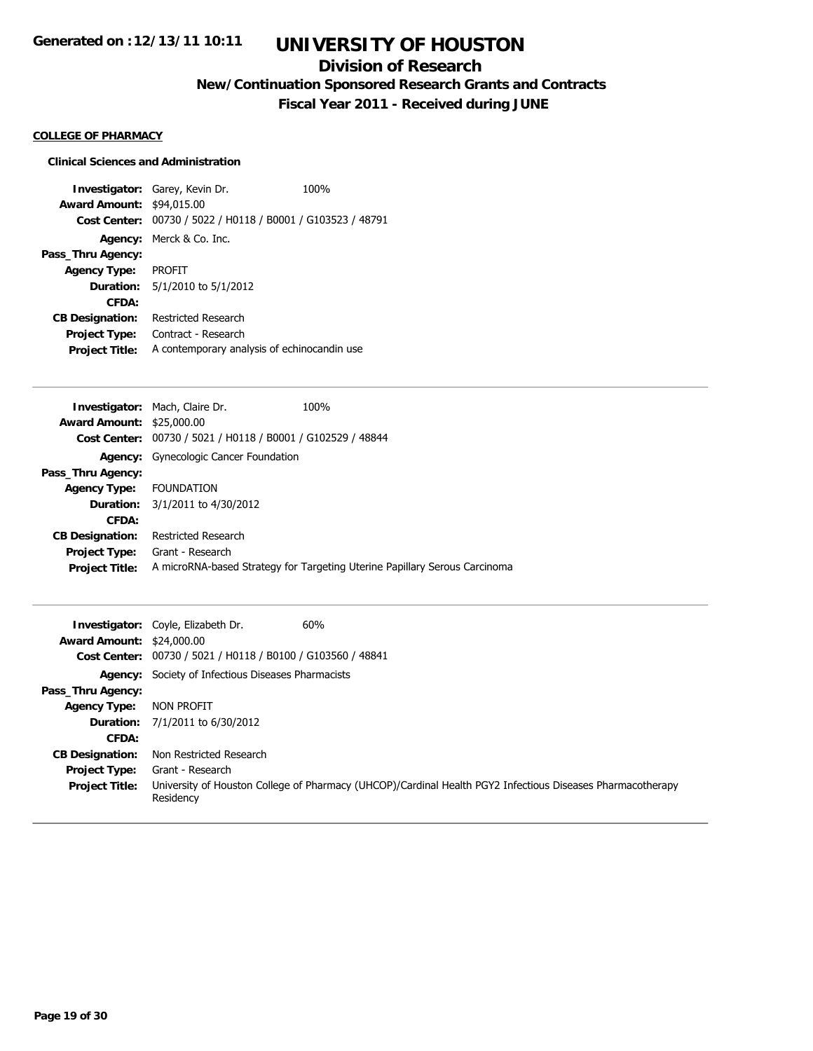## **Division of Research**

**New/Continuation Sponsored Research Grants and Contracts**

**Fiscal Year 2011 - Received during JUNE**

### **COLLEGE OF PHARMACY**

## **Clinical Sciences and Administration**

**Investigator:** Garey, Kevin Dr. 100% **Award Amount:** \$94,015.00 **Cost Center:** 00730 / 5022 / H0118 / B0001 / G103523 / 48791 **Agency:** Merck & Co. Inc. **Pass\_Thru Agency: Agency Type:** PROFIT **Duration:** 5/1/2010 to 5/1/2012 **CFDA: CB Designation:** Restricted Research **Project Type:** Contract - Research **Project Title:** A contemporary analysis of echinocandin use

|                                  | <b>Investigator: Mach, Claire Dr.</b>                       | 100%                                                                       |
|----------------------------------|-------------------------------------------------------------|----------------------------------------------------------------------------|
| <b>Award Amount: \$25,000.00</b> |                                                             |                                                                            |
|                                  | Cost Center: 00730 / 5021 / H0118 / B0001 / G102529 / 48844 |                                                                            |
|                                  | Agency: Gynecologic Cancer Foundation                       |                                                                            |
| Pass_Thru Agency:                |                                                             |                                                                            |
| Agency Type: FOUNDATION          |                                                             |                                                                            |
| <b>Duration:</b>                 | 3/1/2011 to 4/30/2012                                       |                                                                            |
| CFDA:                            |                                                             |                                                                            |
| <b>CB Designation:</b>           | <b>Restricted Research</b>                                  |                                                                            |
| <b>Project Type:</b>             | Grant - Research                                            |                                                                            |
| <b>Project Title:</b>            |                                                             | A microRNA-based Strategy for Targeting Uterine Papillary Serous Carcinoma |
|                                  |                                                             |                                                                            |

| <b>Award Amount: \$24,000.00</b> | <b>Investigator:</b> Coyle, Elizabeth Dr.                   | 60%                                                                                                        |
|----------------------------------|-------------------------------------------------------------|------------------------------------------------------------------------------------------------------------|
|                                  | Cost Center: 00730 / 5021 / H0118 / B0100 / G103560 / 48841 |                                                                                                            |
|                                  | <b>Agency:</b> Society of Infectious Diseases Pharmacists   |                                                                                                            |
| Pass_Thru Agency:                |                                                             |                                                                                                            |
| Agency Type:                     | NON PROFIT                                                  |                                                                                                            |
|                                  | <b>Duration:</b> 7/1/2011 to 6/30/2012                      |                                                                                                            |
| CFDA:                            |                                                             |                                                                                                            |
| <b>CB Designation:</b>           | Non Restricted Research                                     |                                                                                                            |
| <b>Project Type:</b>             | Grant - Research                                            |                                                                                                            |
| <b>Project Title:</b>            | Residency                                                   | University of Houston College of Pharmacy (UHCOP)/Cardinal Health PGY2 Infectious Diseases Pharmacotherapy |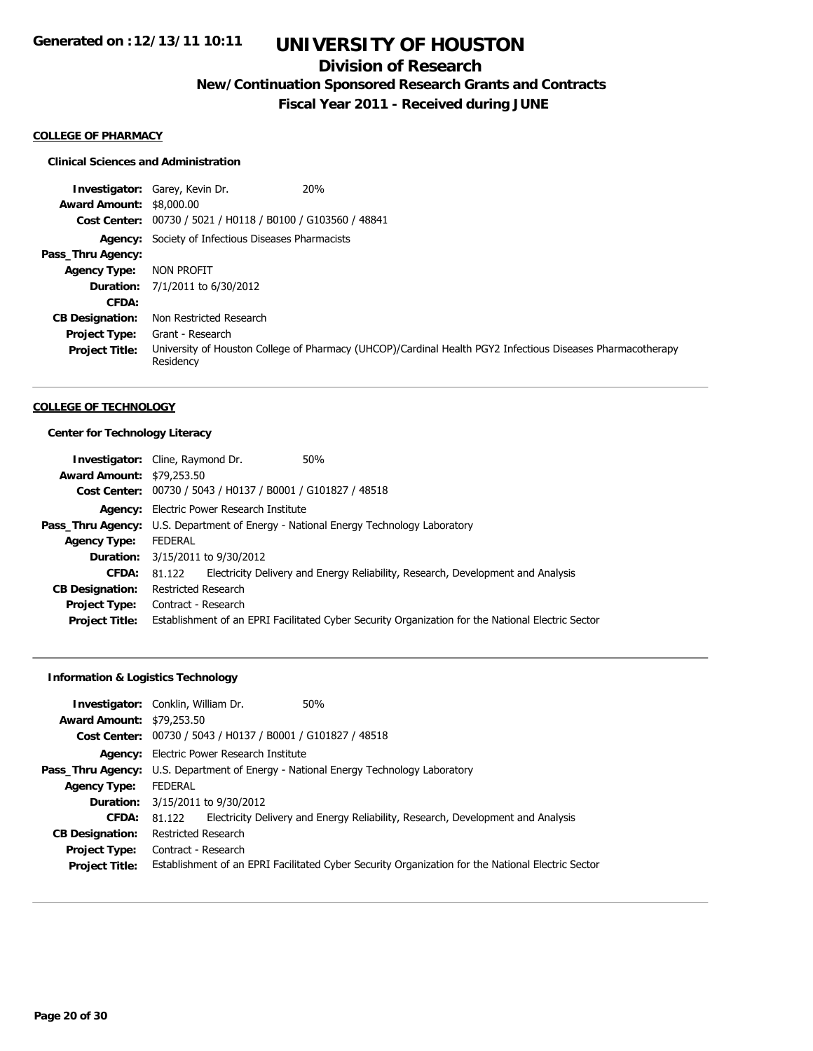## **Division of Research**

**New/Continuation Sponsored Research Grants and Contracts**

**Fiscal Year 2011 - Received during JUNE**

### **COLLEGE OF PHARMACY**

## **Clinical Sciences and Administration**

|                                 | 20%<br><b>Investigator: Garey, Kevin Dr.</b>                |                                                                                                            |
|---------------------------------|-------------------------------------------------------------|------------------------------------------------------------------------------------------------------------|
| <b>Award Amount: \$8,000.00</b> |                                                             |                                                                                                            |
|                                 | Cost Center: 00730 / 5021 / H0118 / B0100 / G103560 / 48841 |                                                                                                            |
|                                 | <b>Agency:</b> Society of Infectious Diseases Pharmacists   |                                                                                                            |
| Pass_Thru Agency:               |                                                             |                                                                                                            |
| <b>Agency Type:</b>             | NON PROFIT                                                  |                                                                                                            |
|                                 | <b>Duration:</b> 7/1/2011 to 6/30/2012                      |                                                                                                            |
| CFDA:                           |                                                             |                                                                                                            |
| <b>CB Designation:</b>          | Non Restricted Research                                     |                                                                                                            |
| <b>Project Type:</b>            | Grant - Research                                            |                                                                                                            |
| <b>Project Title:</b>           | Residency                                                   | University of Houston College of Pharmacy (UHCOP)/Cardinal Health PGY2 Infectious Diseases Pharmacotherapy |

### **COLLEGE OF TECHNOLOGY**

## **Center for Technology Literacy**

| <b>Investigator:</b> Cline, Raymond Dr. |                                                                                            |                                                             | 50%                                                                                               |
|-----------------------------------------|--------------------------------------------------------------------------------------------|-------------------------------------------------------------|---------------------------------------------------------------------------------------------------|
| <b>Award Amount: \$79,253.50</b>        |                                                                                            |                                                             |                                                                                                   |
|                                         |                                                                                            | Cost Center: 00730 / 5043 / H0137 / B0001 / G101827 / 48518 |                                                                                                   |
|                                         | <b>Agency:</b> Electric Power Research Institute                                           |                                                             |                                                                                                   |
|                                         | <b>Pass_Thru Agency:</b> U.S. Department of Energy - National Energy Technology Laboratory |                                                             |                                                                                                   |
| <b>Agency Type:</b>                     | <b>FEDERAL</b>                                                                             |                                                             |                                                                                                   |
|                                         | <b>Duration:</b> 3/15/2011 to 9/30/2012                                                    |                                                             |                                                                                                   |
| <b>CFDA:</b>                            | 81.122                                                                                     |                                                             | Electricity Delivery and Energy Reliability, Research, Development and Analysis                   |
| <b>CB Designation:</b>                  | Restricted Research                                                                        |                                                             |                                                                                                   |
| <b>Project Type:</b>                    | Contract - Research                                                                        |                                                             |                                                                                                   |
| <b>Project Title:</b>                   |                                                                                            |                                                             | Establishment of an EPRI Facilitated Cyber Security Organization for the National Electric Sector |

## **Information & Logistics Technology**

| <b>Award Amount: \$79,253.50</b>              | <b>Investigator:</b> Conklin, William Dr.                   | 50%                                                                                               |
|-----------------------------------------------|-------------------------------------------------------------|---------------------------------------------------------------------------------------------------|
|                                               | Cost Center: 00730 / 5043 / H0137 / B0001 / G101827 / 48518 |                                                                                                   |
|                                               | <b>Agency:</b> Electric Power Research Institute            |                                                                                                   |
|                                               |                                                             | <b>Pass_Thru Agency:</b> U.S. Department of Energy - National Energy Technology Laboratory        |
| <b>Agency Type:</b>                           | FEDERAL                                                     |                                                                                                   |
|                                               | <b>Duration:</b> 3/15/2011 to 9/30/2012                     |                                                                                                   |
| CFDA:                                         | 81.122                                                      | Electricity Delivery and Energy Reliability, Research, Development and Analysis                   |
| <b>CB Designation:</b>                        | Restricted Research                                         |                                                                                                   |
| <b>Project Type:</b><br><b>Project Title:</b> | Contract - Research                                         | Establishment of an EPRI Facilitated Cyber Security Organization for the National Electric Sector |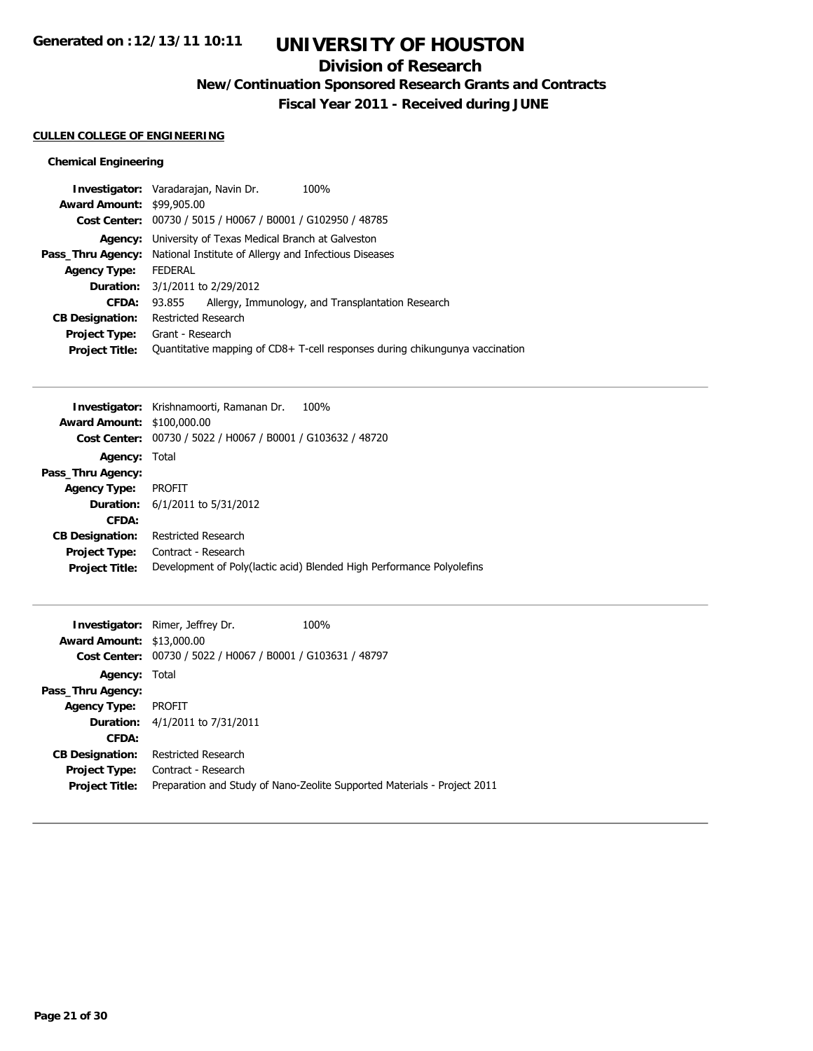# **UNIVERSITY OF HOUSTON**

## **Division of Research**

**New/Continuation Sponsored Research Grants and Contracts**

**Fiscal Year 2011 - Received during JUNE**

## **CULLEN COLLEGE OF ENGINEERING**

## **Chemical Engineering**

| Investigator: Varadarajan, Navin Dr. |                     |                                                             | 100%                                                                         |
|--------------------------------------|---------------------|-------------------------------------------------------------|------------------------------------------------------------------------------|
| <b>Award Amount: \$99,905.00</b>     |                     |                                                             |                                                                              |
|                                      |                     | Cost Center: 00730 / 5015 / H0067 / B0001 / G102950 / 48785 |                                                                              |
| Agency:                              |                     | University of Texas Medical Branch at Galveston             |                                                                              |
| Pass_Thru Agency:                    |                     | National Institute of Allergy and Infectious Diseases       |                                                                              |
| <b>Agency Type:</b>                  | <b>FEDERAL</b>      |                                                             |                                                                              |
|                                      |                     | <b>Duration:</b> 3/1/2011 to 2/29/2012                      |                                                                              |
| CFDA:                                | 93.855              |                                                             | Allergy, Immunology, and Transplantation Research                            |
| <b>CB Designation:</b>               | Restricted Research |                                                             |                                                                              |
| <b>Project Type:</b>                 | Grant - Research    |                                                             |                                                                              |
| <b>Project Title:</b>                |                     |                                                             | Quantitative mapping of CD8+ T-cell responses during chikungunya vaccination |
|                                      |                     |                                                             |                                                                              |

| 100%<br>Investigator: Krishnamoorti, Ramanan Dr.                      |
|-----------------------------------------------------------------------|
| Award Amount: \$100,000.00                                            |
| Cost Center: 00730 / 5022 / H0067 / B0001 / G103632 / 48720           |
| Agency: Total                                                         |
|                                                                       |
| <b>PROFIT</b>                                                         |
| <b>Duration:</b> 6/1/2011 to 5/31/2012                                |
|                                                                       |
| Restricted Research                                                   |
| Contract - Research                                                   |
| Development of Poly(lactic acid) Blended High Performance Polyolefins |
|                                                                       |

| <b>Award Amount: \$13,000.00</b> | <b>Investigator:</b> Rimer, Jeffrey Dr.<br>Cost Center: 00730 / 5022 / H0067 / B0001 / G103631 / 48797 | 100%                                                                     |
|----------------------------------|--------------------------------------------------------------------------------------------------------|--------------------------------------------------------------------------|
| Agency: Total                    |                                                                                                        |                                                                          |
| Pass_Thru Agency:                |                                                                                                        |                                                                          |
| <b>Agency Type:</b>              | <b>PROFIT</b>                                                                                          |                                                                          |
|                                  | <b>Duration:</b> 4/1/2011 to 7/31/2011                                                                 |                                                                          |
| CFDA:                            |                                                                                                        |                                                                          |
| <b>CB Designation:</b>           | Restricted Research                                                                                    |                                                                          |
| Project Type:                    | Contract - Research                                                                                    |                                                                          |
| <b>Project Title:</b>            |                                                                                                        | Preparation and Study of Nano-Zeolite Supported Materials - Project 2011 |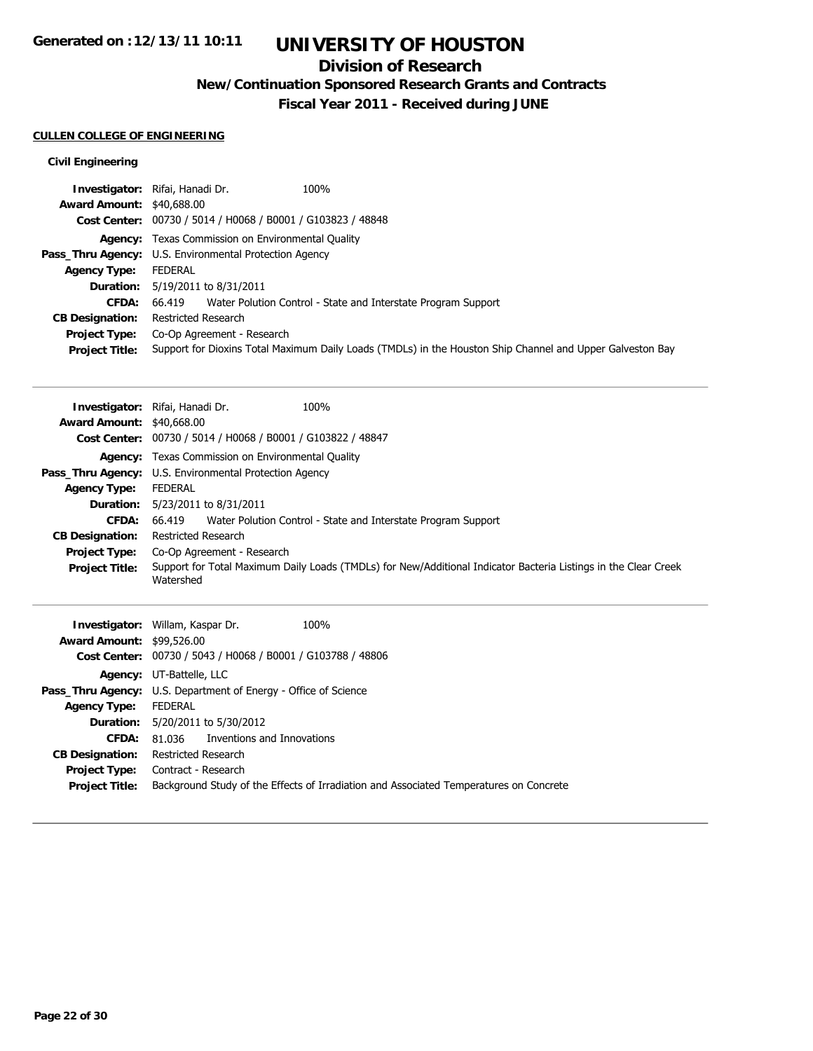# **UNIVERSITY OF HOUSTON**

## **Division of Research**

**New/Continuation Sponsored Research Grants and Contracts**

**Fiscal Year 2011 - Received during JUNE**

## **CULLEN COLLEGE OF ENGINEERING**

## **Civil Engineering**

|                                  | 100%<br>Investigator: Rifai, Hanadi Dr.                     |                                                                                                           |
|----------------------------------|-------------------------------------------------------------|-----------------------------------------------------------------------------------------------------------|
| <b>Award Amount: \$40,688.00</b> |                                                             |                                                                                                           |
|                                  | Cost Center: 00730 / 5014 / H0068 / B0001 / G103823 / 48848 |                                                                                                           |
|                                  | <b>Agency:</b> Texas Commission on Environmental Quality    |                                                                                                           |
|                                  | Pass_Thru Agency: U.S. Environmental Protection Agency      |                                                                                                           |
| <b>Agency Type:</b>              | FEDERAL                                                     |                                                                                                           |
|                                  | <b>Duration:</b> 5/19/2011 to 8/31/2011                     |                                                                                                           |
| <b>CFDA:</b>                     |                                                             | 66.419 Water Polution Control - State and Interstate Program Support                                      |
| <b>CB Designation:</b>           | Restricted Research                                         |                                                                                                           |
| <b>Project Type:</b>             | Co-Op Agreement - Research                                  |                                                                                                           |
| <b>Project Title:</b>            |                                                             | Support for Dioxins Total Maximum Daily Loads (TMDLs) in the Houston Ship Channel and Upper Galveston Bay |

|                                                        | Investigator: Rifai, Hanadi Dr.         | 100%                                                          |                                                                                                                 |
|--------------------------------------------------------|-----------------------------------------|---------------------------------------------------------------|-----------------------------------------------------------------------------------------------------------------|
| <b>Award Amount: \$40,668.00</b>                       |                                         |                                                               |                                                                                                                 |
|                                                        |                                         | Cost Center: 00730 / 5014 / H0068 / B0001 / G103822 / 48847   |                                                                                                                 |
|                                                        |                                         | <b>Agency:</b> Texas Commission on Environmental Quality      |                                                                                                                 |
| Pass_Thru Agency: U.S. Environmental Protection Agency |                                         |                                                               |                                                                                                                 |
| <b>Agency Type:</b>                                    | FEDERAL                                 |                                                               |                                                                                                                 |
|                                                        | <b>Duration:</b> 5/23/2011 to 8/31/2011 |                                                               |                                                                                                                 |
| <b>CFDA:</b>                                           | 66.419                                  | Water Polution Control - State and Interstate Program Support |                                                                                                                 |
| <b>CB Designation:</b>                                 | Restricted Research                     |                                                               |                                                                                                                 |
| <b>Project Type:</b>                                   | Co-Op Agreement - Research              |                                                               |                                                                                                                 |
| <b>Project Title:</b>                                  | Watershed                               |                                                               | Support for Total Maximum Daily Loads (TMDLs) for New/Additional Indicator Bacteria Listings in the Clear Creek |
|                                                        |                                         |                                                               |                                                                                                                 |

|                                  | 100%<br><b>Investigator: Willam, Kaspar Dr.</b>                                        |
|----------------------------------|----------------------------------------------------------------------------------------|
| <b>Award Amount: \$99,526.00</b> |                                                                                        |
|                                  | Cost Center: 00730 / 5043 / H0068 / B0001 / G103788 / 48806                            |
|                                  | Agency: UT-Battelle, LLC                                                               |
|                                  | <b>Pass_Thru Agency:</b> U.S. Department of Energy - Office of Science                 |
| <b>Agency Type:</b>              | FEDERAL                                                                                |
|                                  | <b>Duration:</b> 5/20/2011 to 5/30/2012                                                |
| CFDA:                            | 81.036 Inventions and Innovations                                                      |
| <b>CB Designation:</b>           | Restricted Research                                                                    |
| Project Type:                    | Contract - Research                                                                    |
| <b>Project Title:</b>            | Background Study of the Effects of Irradiation and Associated Temperatures on Concrete |
|                                  |                                                                                        |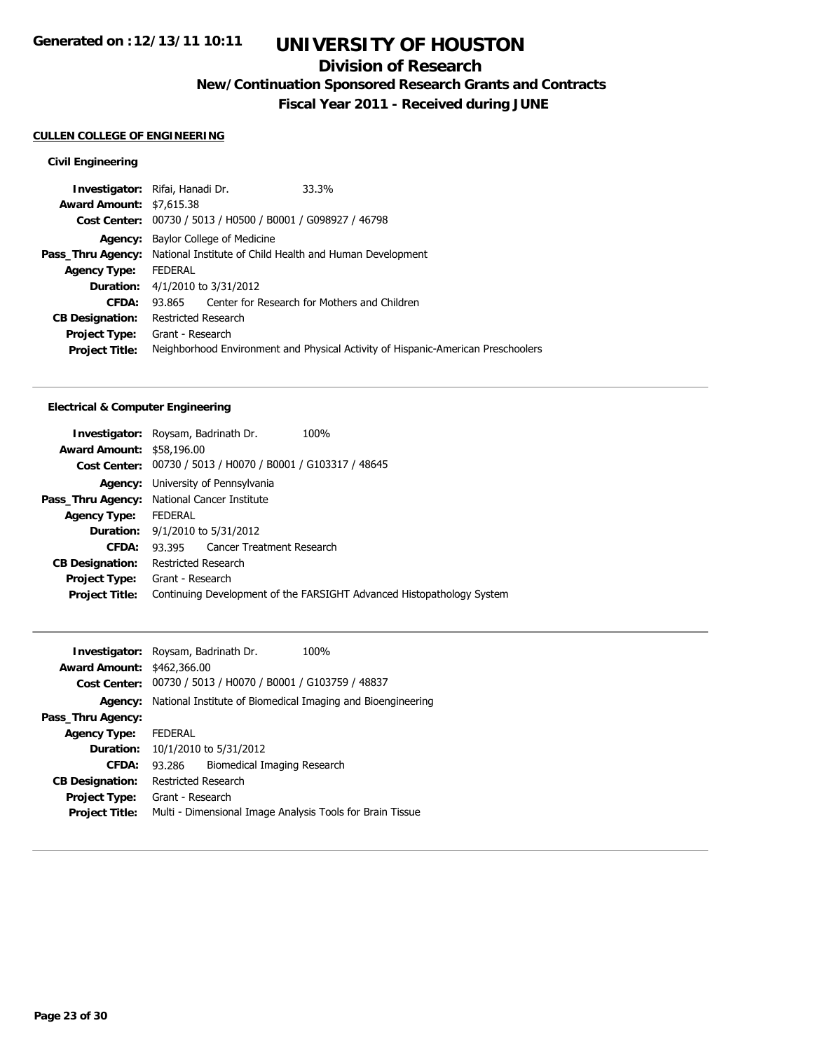## **Division of Research**

**New/Continuation Sponsored Research Grants and Contracts**

**Fiscal Year 2011 - Received during JUNE**

## **CULLEN COLLEGE OF ENGINEERING**

## **Civil Engineering**

|                                 | Investigator: Rifai, Hanadi Dr.                                                   | 33.3%                                                                            |
|---------------------------------|-----------------------------------------------------------------------------------|----------------------------------------------------------------------------------|
| <b>Award Amount: \$7,615.38</b> |                                                                                   |                                                                                  |
|                                 | Cost Center: 00730 / 5013 / H0500 / B0001 / G098927 / 46798                       |                                                                                  |
| Agency:                         | Baylor College of Medicine                                                        |                                                                                  |
|                                 | <b>Pass_Thru Agency:</b> National Institute of Child Health and Human Development |                                                                                  |
| <b>Agency Type:</b>             | <b>FEDERAL</b>                                                                    |                                                                                  |
|                                 | <b>Duration:</b> 4/1/2010 to 3/31/2012                                            |                                                                                  |
| CFDA:                           | 93.865                                                                            | Center for Research for Mothers and Children                                     |
| <b>CB Designation:</b>          | Restricted Research                                                               |                                                                                  |
| <b>Project Type:</b>            | Grant - Research                                                                  |                                                                                  |
| <b>Project Title:</b>           |                                                                                   | Neighborhood Environment and Physical Activity of Hispanic-American Preschoolers |
|                                 |                                                                                   |                                                                                  |

## **Electrical & Computer Engineering**

| <b>Investigator:</b> Roysam, Badrinath Dr.  |                     |                                                             | 100% |                                                                       |
|---------------------------------------------|---------------------|-------------------------------------------------------------|------|-----------------------------------------------------------------------|
| <b>Award Amount: \$58,196.00</b>            |                     |                                                             |      |                                                                       |
|                                             |                     | Cost Center: 00730 / 5013 / H0070 / B0001 / G103317 / 48645 |      |                                                                       |
| Agency:                                     |                     | University of Pennsylvania                                  |      |                                                                       |
| Pass_Thru Agency: National Cancer Institute |                     |                                                             |      |                                                                       |
| <b>Agency Type:</b>                         | <b>FEDERAL</b>      |                                                             |      |                                                                       |
|                                             |                     | <b>Duration:</b> 9/1/2010 to 5/31/2012                      |      |                                                                       |
| CFDA:                                       |                     | 93.395 Cancer Treatment Research                            |      |                                                                       |
| <b>CB Designation:</b>                      | Restricted Research |                                                             |      |                                                                       |
| <b>Project Type:</b> Grant - Research       |                     |                                                             |      |                                                                       |
| <b>Project Title:</b>                       |                     |                                                             |      | Continuing Development of the FARSIGHT Advanced Histopathology System |
|                                             |                     |                                                             |      |                                                                       |

|                                   | <b>Investigator:</b> Roysam, Badrinath Dr. |                             | 100%                                                        |
|-----------------------------------|--------------------------------------------|-----------------------------|-------------------------------------------------------------|
| <b>Award Amount: \$462,366.00</b> |                                            |                             |                                                             |
| <b>Cost Center:</b>               |                                            |                             | 00730 / 5013 / H0070 / B0001 / G103759 / 48837              |
| Agency:                           |                                            |                             | National Institute of Biomedical Imaging and Bioengineering |
| Pass_Thru Agency:                 |                                            |                             |                                                             |
| <b>Agency Type:</b>               | <b>FEDERAL</b>                             |                             |                                                             |
| Duration:                         | 10/1/2010 to 5/31/2012                     |                             |                                                             |
| CFDA:                             | 93.286                                     | Biomedical Imaging Research |                                                             |
| <b>CB Designation:</b>            | Restricted Research                        |                             |                                                             |
| <b>Project Type:</b>              | Grant - Research                           |                             |                                                             |
| <b>Project Title:</b>             |                                            |                             | Multi - Dimensional Image Analysis Tools for Brain Tissue   |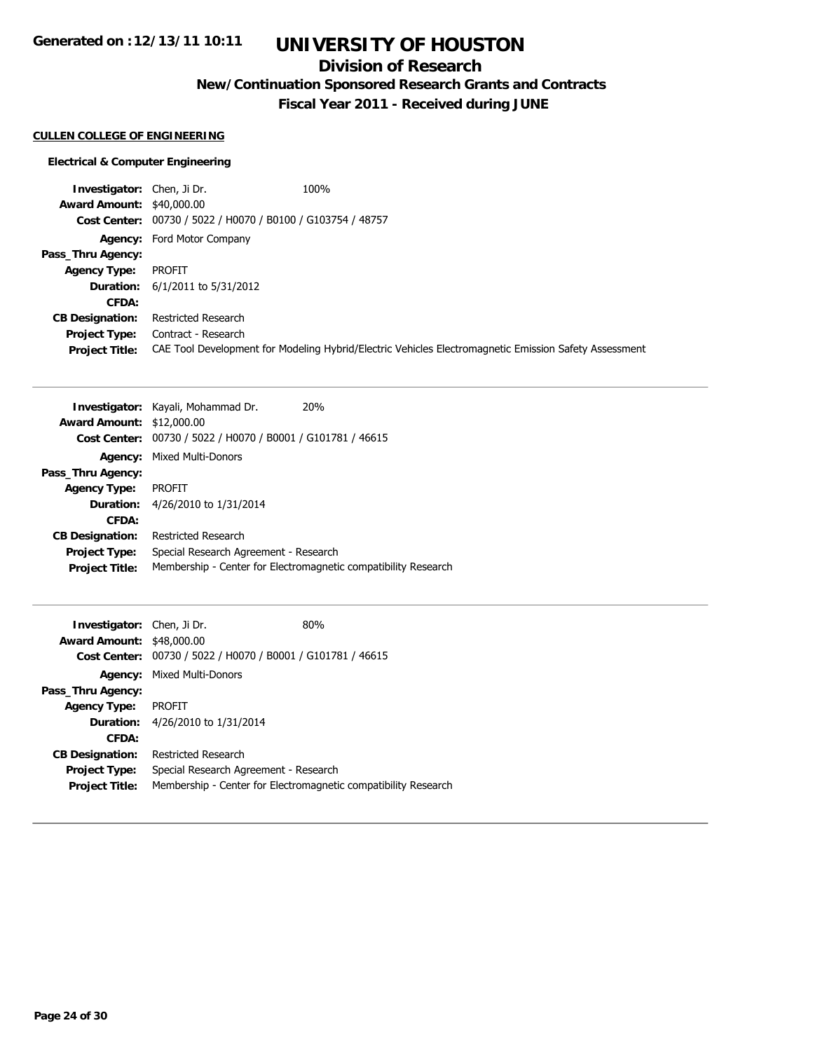# **UNIVERSITY OF HOUSTON**

## **Division of Research**

**New/Continuation Sponsored Research Grants and Contracts**

**Fiscal Year 2011 - Received during JUNE**

### **CULLEN COLLEGE OF ENGINEERING**

#### **Electrical & Computer Engineering**

**Investigator:** Chen, Ji Dr. 100% **Award Amount:** \$40,000.00 **Cost Center:** 00730 / 5022 / H0070 / B0100 / G103754 / 48757 **Agency:** Ford Motor Company **Pass\_Thru Agency: Agency Type:** PROFIT **Duration:** 6/1/2011 to 5/31/2012 **CFDA: CB Designation:** Restricted Research **Project Type:** Contract - Research **Project Title:** CAE Tool Development for Modeling Hybrid/Electric Vehicles Electromagnetic Emission Safety Assessment

|                                  | 20 <sub>%</sub><br><b>Investigator:</b> Kayali, Mohammad Dr.   |
|----------------------------------|----------------------------------------------------------------|
| <b>Award Amount: \$12,000.00</b> |                                                                |
|                                  | Cost Center: 00730 / 5022 / H0070 / B0001 / G101781 / 46615    |
|                                  | <b>Agency: Mixed Multi-Donors</b>                              |
| Pass_Thru Agency:                |                                                                |
| <b>Agency Type:</b>              | <b>PROFIT</b>                                                  |
|                                  | <b>Duration:</b> 4/26/2010 to 1/31/2014                        |
| CFDA:                            |                                                                |
| <b>CB Designation:</b>           | Restricted Research                                            |
| <b>Project Type:</b>             | Special Research Agreement - Research                          |
| <b>Project Title:</b>            | Membership - Center for Electromagnetic compatibility Research |

| <b>Investigator:</b> Chen, Ji Dr.                           | 80%                                                            |
|-------------------------------------------------------------|----------------------------------------------------------------|
| <b>Award Amount: \$48,000.00</b>                            |                                                                |
| Cost Center: 00730 / 5022 / H0070 / B0001 / G101781 / 46615 |                                                                |
| <b>Agency: Mixed Multi-Donors</b>                           |                                                                |
|                                                             |                                                                |
| <b>PROFIT</b>                                               |                                                                |
| 4/26/2010 to 1/31/2014<br><b>Duration:</b>                  |                                                                |
|                                                             |                                                                |
| Restricted Research                                         |                                                                |
| Special Research Agreement - Research                       |                                                                |
|                                                             | Membership - Center for Electromagnetic compatibility Research |
|                                                             |                                                                |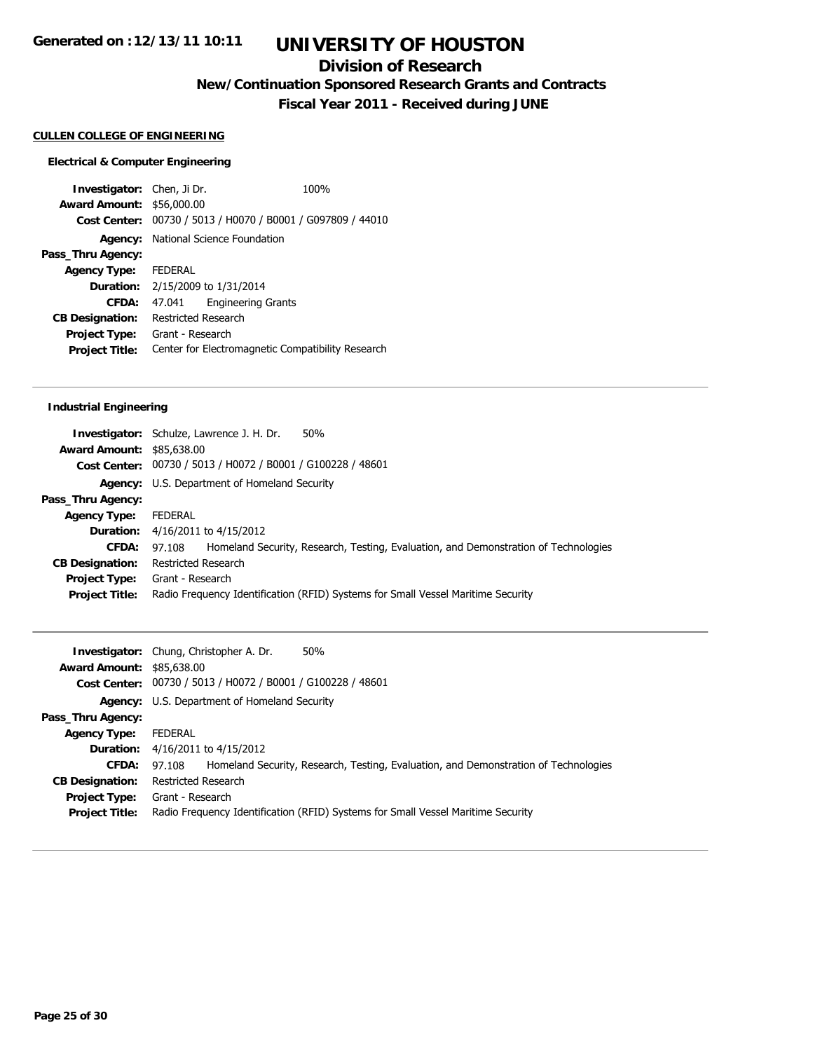## **Division of Research**

**New/Continuation Sponsored Research Grants and Contracts**

**Fiscal Year 2011 - Received during JUNE**

### **CULLEN COLLEGE OF ENGINEERING**

#### **Electrical & Computer Engineering**

**Investigator:** Chen, Ji Dr. 100% **Award Amount:** \$56,000.00 **Cost Center:** 00730 / 5013 / H0070 / B0001 / G097809 / 44010 **Agency:** National Science Foundation **Pass\_Thru Agency: Agency Type:** FEDERAL **Duration:** 2/15/2009 to 1/31/2014 **CFDA:** 47.041 Engineering Grants **CB Designation:** Restricted Research **Project Type:** Grant - Research **Project Title:** Center for Electromagnetic Compatibility Research

## **Industrial Engineering**

|                                  | <b>Investigator:</b> Schulze, Lawrence J. H. Dr.<br>50%                                       |
|----------------------------------|-----------------------------------------------------------------------------------------------|
| <b>Award Amount: \$85,638.00</b> |                                                                                               |
|                                  | Cost Center: 00730 / 5013 / H0072 / B0001 / G100228 / 48601                                   |
|                                  | <b>Agency:</b> U.S. Department of Homeland Security                                           |
| Pass_Thru Agency:                |                                                                                               |
| <b>Agency Type:</b>              | FEDERAL                                                                                       |
|                                  | <b>Duration:</b> 4/16/2011 to 4/15/2012                                                       |
| CFDA:                            | Homeland Security, Research, Testing, Evaluation, and Demonstration of Technologies<br>97.108 |
| <b>CB Designation:</b>           | Restricted Research                                                                           |
| <b>Project Type:</b>             | Grant - Research                                                                              |
| <b>Project Title:</b>            | Radio Frequency Identification (RFID) Systems for Small Vessel Maritime Security              |
|                                  |                                                                                               |

|                                  | 50%<br><b>Investigator:</b> Chung, Christopher A. Dr.                                         |  |
|----------------------------------|-----------------------------------------------------------------------------------------------|--|
| <b>Award Amount: \$85,638.00</b> |                                                                                               |  |
|                                  | Cost Center: 00730 / 5013 / H0072 / B0001 / G100228 / 48601                                   |  |
|                                  | <b>Agency:</b> U.S. Department of Homeland Security                                           |  |
| Pass_Thru Agency:                |                                                                                               |  |
| <b>Agency Type:</b>              | FEDERAL                                                                                       |  |
| Duration:                        | 4/16/2011 to 4/15/2012                                                                        |  |
| CFDA:                            | Homeland Security, Research, Testing, Evaluation, and Demonstration of Technologies<br>97.108 |  |
| <b>CB Designation:</b>           | Restricted Research                                                                           |  |
| Project Type:                    | Grant - Research                                                                              |  |
| <b>Project Title:</b>            | Radio Frequency Identification (RFID) Systems for Small Vessel Maritime Security              |  |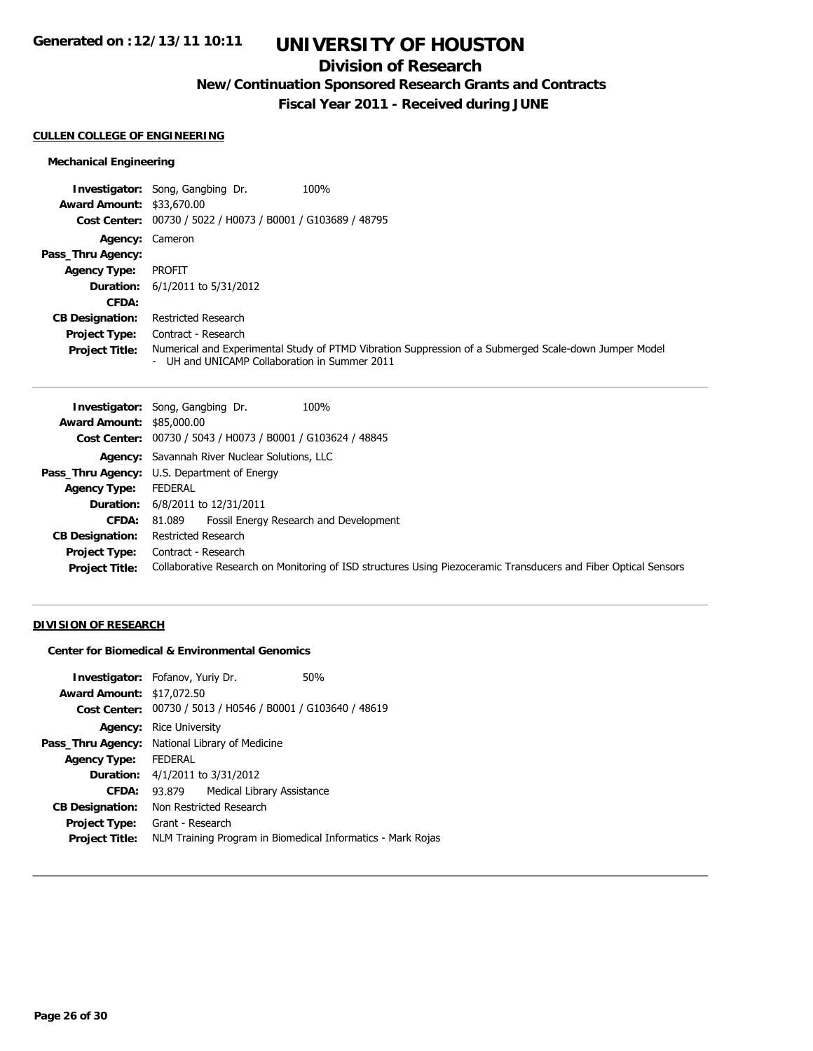# **UNIVERSITY OF HOUSTON**

## **Division of Research**

**New/Continuation Sponsored Research Grants and Contracts**

**Fiscal Year 2011 - Received during JUNE**

#### **CULLEN COLLEGE OF ENGINEERING**

## **Mechanical Engineering**

|                                  | 100%<br><b>Investigator:</b> Song, Gangbing Dr.                                                                                                        |
|----------------------------------|--------------------------------------------------------------------------------------------------------------------------------------------------------|
| <b>Award Amount: \$33,670.00</b> |                                                                                                                                                        |
|                                  | Cost Center: 00730 / 5022 / H0073 / B0001 / G103689 / 48795                                                                                            |
| Agency: Cameron                  |                                                                                                                                                        |
| Pass_Thru Agency:                |                                                                                                                                                        |
| <b>Agency Type:</b>              | PROFIT                                                                                                                                                 |
|                                  | <b>Duration:</b> 6/1/2011 to 5/31/2012                                                                                                                 |
| CFDA:                            |                                                                                                                                                        |
| <b>CB Designation:</b>           | <b>Restricted Research</b>                                                                                                                             |
| <b>Project Type:</b>             | Contract - Research                                                                                                                                    |
| <b>Project Title:</b>            | Numerical and Experimental Study of PTMD Vibration Suppression of a Submerged Scale-down Jumper Model<br>- UH and UNICAMP Collaboration in Summer 2011 |

| 100%<br><b>Investigator:</b> Song, Gangbing Dr.                                                                 |
|-----------------------------------------------------------------------------------------------------------------|
| <b>Award Amount: \$85,000.00</b>                                                                                |
| Cost Center: 00730 / 5043 / H0073 / B0001 / G103624 / 48845                                                     |
| Agency: Savannah River Nuclear Solutions, LLC                                                                   |
| <b>Pass_Thru Agency:</b> U.S. Department of Energy                                                              |
| FEDERAL                                                                                                         |
| <b>Duration:</b> 6/8/2011 to 12/31/2011                                                                         |
| Fossil Energy Research and Development<br>81.089                                                                |
| Restricted Research                                                                                             |
| <b>Project Type:</b> Contract - Research                                                                        |
| Collaborative Research on Monitoring of ISD structures Using Piezoceramic Transducers and Fiber Optical Sensors |
|                                                                                                                 |

## **DIVISION OF RESEARCH**

**Center for Biomedical & Environmental Genomics**

| <b>Investigator:</b> Fofanov, Yuriy Dr.        |                                        |                            | 50%                                                         |
|------------------------------------------------|----------------------------------------|----------------------------|-------------------------------------------------------------|
| <b>Award Amount: \$17,072.50</b>               |                                        |                            |                                                             |
|                                                |                                        |                            | Cost Center: 00730 / 5013 / H0546 / B0001 / G103640 / 48619 |
| Agency:                                        | Rice University                        |                            |                                                             |
| Pass_Thru Agency: National Library of Medicine |                                        |                            |                                                             |
| <b>Agency Type:</b>                            | <b>FEDERAL</b>                         |                            |                                                             |
|                                                | <b>Duration:</b> 4/1/2011 to 3/31/2012 |                            |                                                             |
| CFDA:                                          | 93.879                                 | Medical Library Assistance |                                                             |
| <b>CB Designation:</b>                         | Non Restricted Research                |                            |                                                             |
| Project Type:                                  | Grant - Research                       |                            |                                                             |
| <b>Project Title:</b>                          |                                        |                            | NLM Training Program in Biomedical Informatics - Mark Rojas |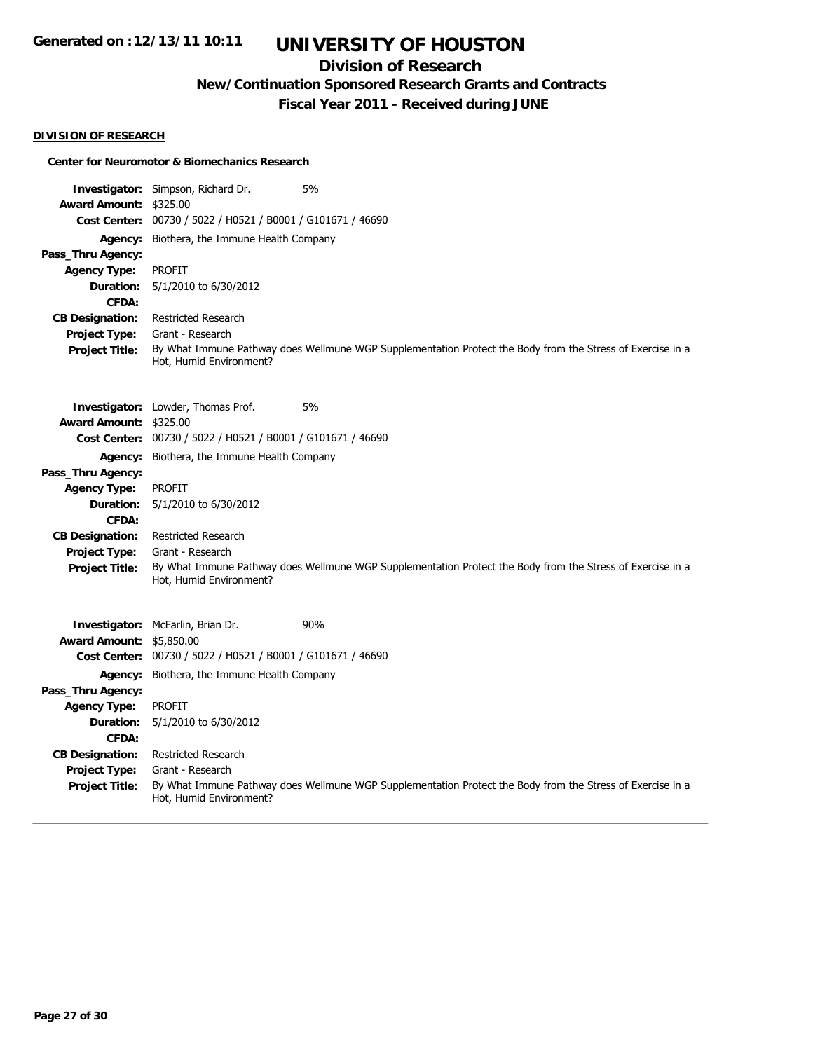## **Division of Research**

**New/Continuation Sponsored Research Grants and Contracts**

**Fiscal Year 2011 - Received during JUNE**

### **DIVISION OF RESEARCH**

### **Center for Neuromotor & Biomechanics Research**

|                        | Investigator: Simpson, Richard Dr.<br>5%                                                                                              |  |  |
|------------------------|---------------------------------------------------------------------------------------------------------------------------------------|--|--|
| <b>Award Amount:</b>   | \$325.00                                                                                                                              |  |  |
|                        | Cost Center: 00730 / 5022 / H0521 / B0001 / G101671 / 46690                                                                           |  |  |
| Agency:                | Biothera, the Immune Health Company                                                                                                   |  |  |
| Pass_Thru Agency:      |                                                                                                                                       |  |  |
| <b>Agency Type:</b>    | <b>PROFIT</b>                                                                                                                         |  |  |
| Duration:              | 5/1/2010 to 6/30/2012                                                                                                                 |  |  |
| CFDA:                  |                                                                                                                                       |  |  |
| <b>CB Designation:</b> | <b>Restricted Research</b>                                                                                                            |  |  |
| Project Type:          | Grant - Research                                                                                                                      |  |  |
| <b>Project Title:</b>  | By What Immune Pathway does Wellmune WGP Supplementation Protect the Body from the Stress of Exercise in a<br>Hot, Humid Environment? |  |  |
|                        | 5%<br>Investigator: Lowder, Thomas Prof.                                                                                              |  |  |
| <b>Award Amount:</b>   | \$325.00                                                                                                                              |  |  |
|                        | Cost Center: 00730 / 5022 / H0521 / B0001 / G101671 / 46690                                                                           |  |  |
| Agency:                | Biothera, the Immune Health Company                                                                                                   |  |  |
| Pass_Thru Agency:      |                                                                                                                                       |  |  |
| <b>Agency Type:</b>    | <b>PROFIT</b>                                                                                                                         |  |  |
| Duration:              | 5/1/2010 to 6/30/2012                                                                                                                 |  |  |
| CFDA:                  |                                                                                                                                       |  |  |
| <b>CB Designation:</b> | <b>Restricted Research</b>                                                                                                            |  |  |
| Project Type:          | Grant - Research                                                                                                                      |  |  |
| <b>Project Title:</b>  | By What Immune Pathway does Wellmune WGP Supplementation Protect the Body from the Stress of Exercise in a<br>Hot, Humid Environment? |  |  |
|                        | 90%<br>Investigator: McFarlin, Brian Dr.                                                                                              |  |  |
| <b>Award Amount:</b>   | \$5,850.00                                                                                                                            |  |  |
| <b>Cost Center:</b>    | 00730 / 5022 / H0521 / B0001 / G101671 / 46690                                                                                        |  |  |
| Agency:                | Biothera, the Immune Health Company                                                                                                   |  |  |
| Pass_Thru Agency:      |                                                                                                                                       |  |  |
| <b>Agency Type:</b>    | <b>PROFIT</b>                                                                                                                         |  |  |
| Duration:              | 5/1/2010 to 6/30/2012                                                                                                                 |  |  |
| CFDA:                  |                                                                                                                                       |  |  |
| <b>CB Designation:</b> | Restricted Research                                                                                                                   |  |  |
| <b>Project Type:</b>   | Grant - Research                                                                                                                      |  |  |
| <b>Project Title:</b>  | By What Immune Pathway does Wellmune WGP Supplementation Protect the Body from the Stress of Exercise in a<br>Hot, Humid Environment? |  |  |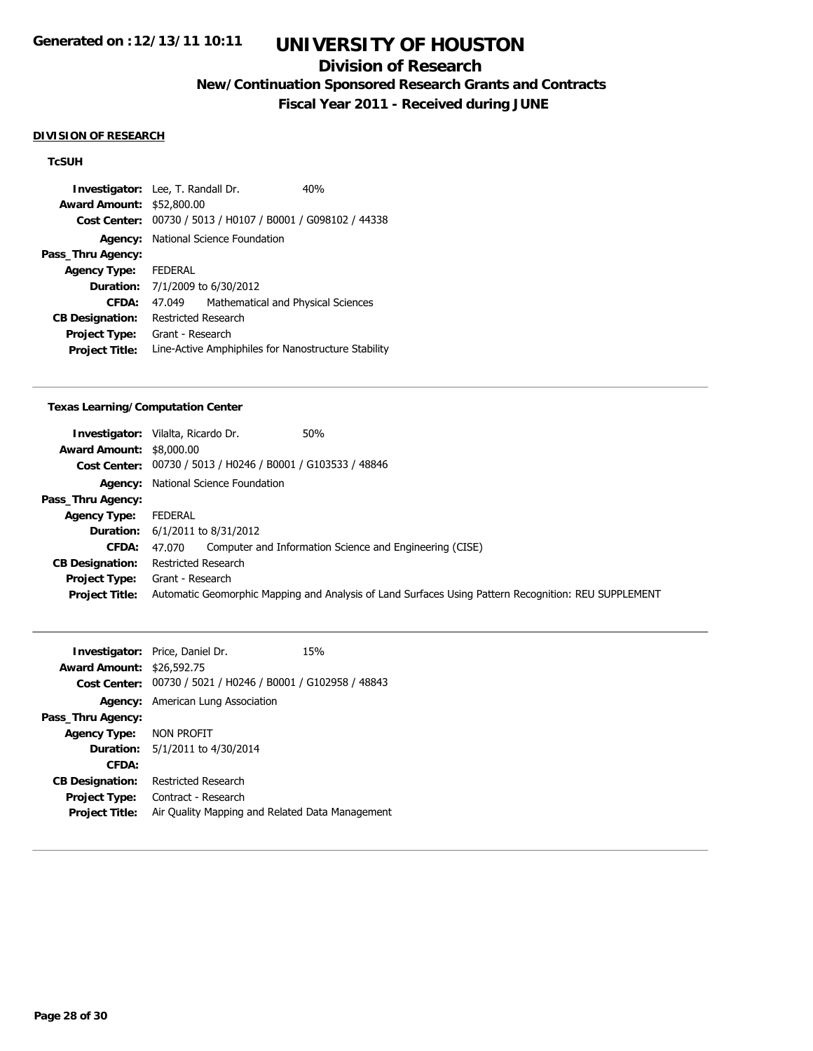## **Division of Research**

**New/Continuation Sponsored Research Grants and Contracts**

**Fiscal Year 2011 - Received during JUNE**

### **DIVISION OF RESEARCH**

## **TcSUH**

| <b>Investigator:</b> Lee, T. Randall Dr. |                                                     |                                                | 40% |
|------------------------------------------|-----------------------------------------------------|------------------------------------------------|-----|
| <b>Award Amount:</b>                     | \$52,800.00                                         |                                                |     |
| <b>Cost Center:</b>                      |                                                     | 00730 / 5013 / H0107 / B0001 / G098102 / 44338 |     |
|                                          |                                                     | <b>Agency:</b> National Science Foundation     |     |
| Pass_Thru Agency:                        |                                                     |                                                |     |
| <b>Agency Type:</b>                      | <b>FEDERAL</b>                                      |                                                |     |
|                                          |                                                     | <b>Duration:</b> 7/1/2009 to 6/30/2012         |     |
| CFDA:                                    | 47.049                                              | Mathematical and Physical Sciences             |     |
| <b>CB Designation:</b>                   | Restricted Research                                 |                                                |     |
| <b>Project Type:</b>                     | Grant - Research                                    |                                                |     |
| <b>Project Title:</b>                    | Line-Active Amphiphiles for Nanostructure Stability |                                                |     |

### **Texas Learning/Computation Center**

| <b>Award Amount: \$8,000.00</b> | <b>Investigator:</b> Vilalta, Ricardo Dr.<br>50%<br>Cost Center: 00730 / 5013 / H0246 / B0001 / G103533 / 48846                               |
|---------------------------------|-----------------------------------------------------------------------------------------------------------------------------------------------|
|                                 | Agency: National Science Foundation                                                                                                           |
| Pass_Thru Agency:               |                                                                                                                                               |
| <b>Agency Type:</b>             | FEDERAL                                                                                                                                       |
|                                 | <b>Duration:</b> 6/1/2011 to 8/31/2012                                                                                                        |
| <b>CFDA:</b>                    | 47.070 Computer and Information Science and Engineering (CISE)                                                                                |
| <b>CB Designation:</b>          | Restricted Research                                                                                                                           |
| <b>Project Title:</b>           | <b>Project Type:</b> Grant - Research<br>Automatic Geomorphic Mapping and Analysis of Land Surfaces Using Pattern Recognition: REU SUPPLEMENT |

|                                  | <b>Investigator:</b> Price, Daniel Dr.                      | 15% |
|----------------------------------|-------------------------------------------------------------|-----|
| <b>Award Amount: \$26,592.75</b> |                                                             |     |
|                                  | Cost Center: 00730 / 5021 / H0246 / B0001 / G102958 / 48843 |     |
|                                  | <b>Agency:</b> American Lung Association                    |     |
| Pass_Thru Agency:                |                                                             |     |
| Agency Type: NON PROFIT          |                                                             |     |
|                                  | <b>Duration:</b> 5/1/2011 to 4/30/2014                      |     |
| CFDA:                            |                                                             |     |
| <b>CB Designation:</b>           | Restricted Research                                         |     |
| <b>Project Type:</b>             | Contract - Research                                         |     |
| <b>Project Title:</b>            | Air Quality Mapping and Related Data Management             |     |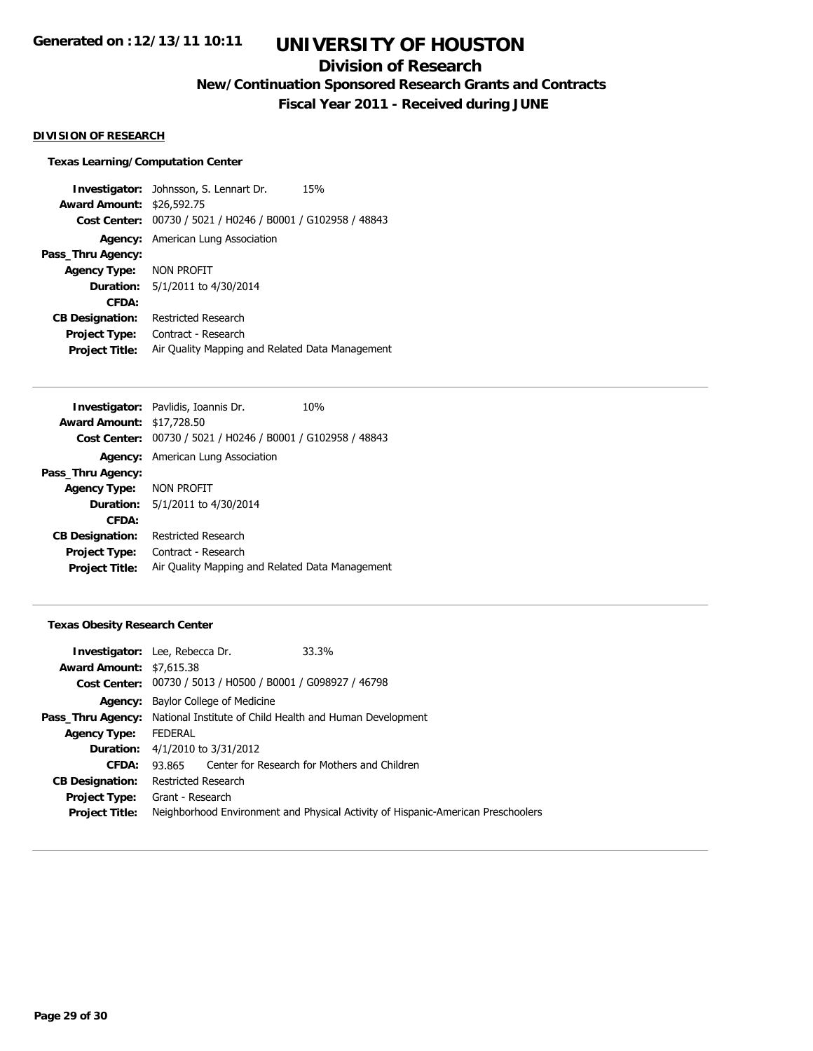## **Division of Research**

**New/Continuation Sponsored Research Grants and Contracts**

**Fiscal Year 2011 - Received during JUNE**

### **DIVISION OF RESEARCH**

#### **Texas Learning/Computation Center**

**Investigator:** Johnsson, S. Lennart Dr. 15% **Award Amount:** \$26,592.75 **Cost Center:** 00730 / 5021 / H0246 / B0001 / G102958 / 48843 **Agency:** American Lung Association **Pass\_Thru Agency: Agency Type:** NON PROFIT **Duration:** 5/1/2011 to 4/30/2014 **CFDA: CB Designation:** Restricted Research **Project Type:** Contract - Research **Project Title:** Air Quality Mapping and Related Data Management

|                                  | <b>Investigator:</b> Pavlidis, Ioannis Dr.                  | 10% |
|----------------------------------|-------------------------------------------------------------|-----|
| <b>Award Amount: \$17,728.50</b> |                                                             |     |
|                                  | Cost Center: 00730 / 5021 / H0246 / B0001 / G102958 / 48843 |     |
|                                  | <b>Agency:</b> American Lung Association                    |     |
| Pass_Thru Agency:                |                                                             |     |
| Agency Type: NON PROFIT          |                                                             |     |
|                                  | <b>Duration:</b> 5/1/2011 to 4/30/2014                      |     |
| CFDA:                            |                                                             |     |
| <b>CB Designation:</b>           | Restricted Research                                         |     |
| Project Type:                    | Contract - Research                                         |     |
| <b>Project Title:</b>            | Air Quality Mapping and Related Data Management             |     |
|                                  |                                                             |     |

### **Texas Obesity Research Center**

|                                 | 33.3%<br><b>Investigator:</b> Lee, Rebecca Dr.                                    |  |
|---------------------------------|-----------------------------------------------------------------------------------|--|
| <b>Award Amount: \$7,615.38</b> |                                                                                   |  |
|                                 | Cost Center: 00730 / 5013 / H0500 / B0001 / G098927 / 46798                       |  |
|                                 | <b>Agency:</b> Baylor College of Medicine                                         |  |
|                                 | <b>Pass_Thru Agency:</b> National Institute of Child Health and Human Development |  |
| <b>Agency Type:</b>             | FEDERAL                                                                           |  |
| Duration:                       | 4/1/2010 to 3/31/2012                                                             |  |
| CFDA:                           | 93,865 Center for Research for Mothers and Children                               |  |
| <b>CB Designation:</b>          | Restricted Research                                                               |  |
| Project Type:                   | Grant - Research                                                                  |  |
| <b>Project Title:</b>           | Neighborhood Environment and Physical Activity of Hispanic-American Preschoolers  |  |